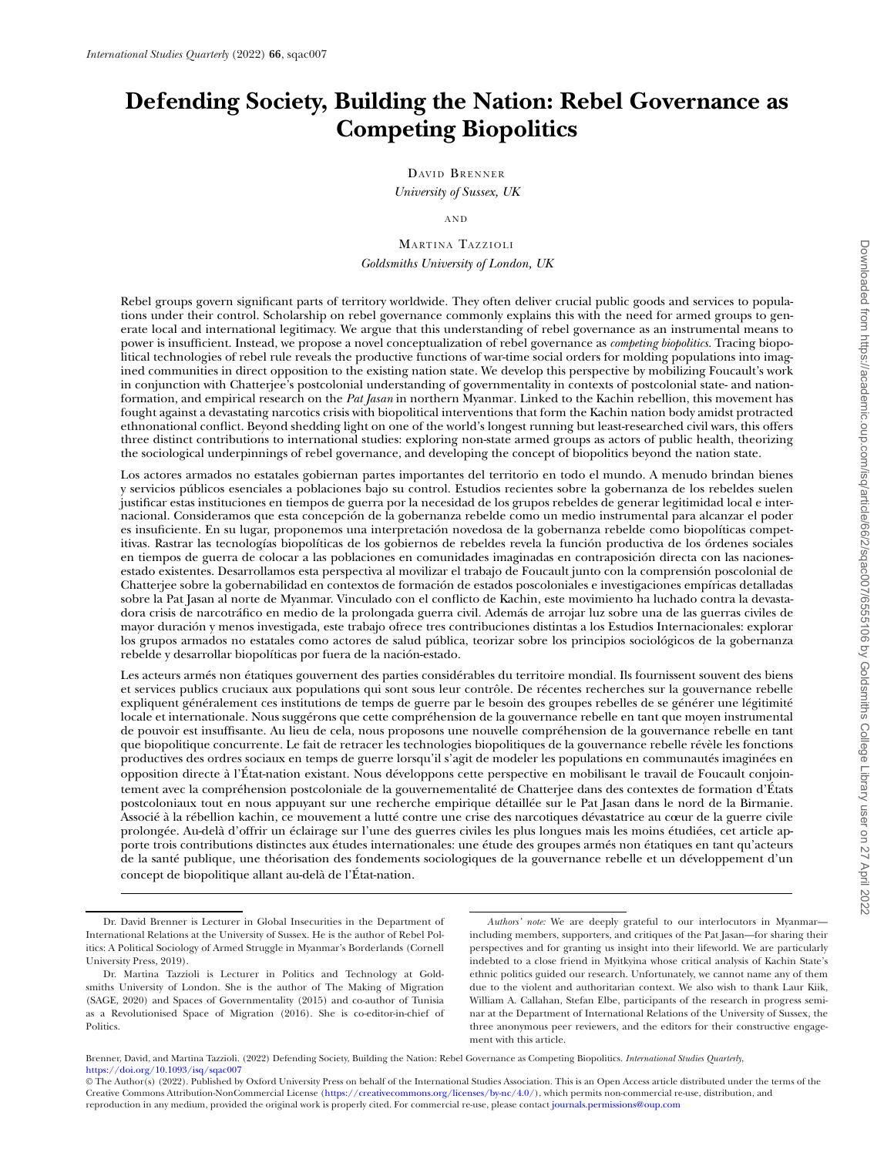# **Defending Society, Building the Nation: Rebel Governance as Competing Biopolitics**

DAVID BRENNER *University of Sussex, UK*

AND

MARTINA TAZZIOLI *Goldsmiths University of London, UK*

Rebel groups govern significant parts of territory worldwide. They often deliver crucial public goods and services to populations under their control. Scholarship on rebel governance commonly explains this with the need for armed groups to generate local and international legitimacy. We argue that this understanding of rebel governance as an instrumental means to power is insufficient. Instead, we propose a novel conceptualization of rebel governance as *competing biopolitics.* Tracing biopolitical technologies of rebel rule reveals the productive functions of war-time social orders for molding populations into imagined communities in direct opposition to the existing nation state. We develop this perspective by mobilizing Foucault's work in conjunction with Chatterjee's postcolonial understanding of governmentality in contexts of postcolonial state- and nationformation, and empirical research on the *Pat Jasan* in northern Myanmar*.* Linked to the Kachin rebellion, this movement has fought against a devastating narcotics crisis with biopolitical interventions that form the Kachin nation body amidst protracted ethnonational conflict. Beyond shedding light on one of the world's longest running but least-researched civil wars, this offers three distinct contributions to international studies: exploring non-state armed groups as actors of public health, theorizing the sociological underpinnings of rebel governance, and developing the concept of biopolitics beyond the nation state.

Los actores armados no estatales gobiernan partes importantes del territorio en todo el mundo. A menudo brindan bienes y servicios públicos esenciales a poblaciones bajo su control. Estudios recientes sobre la gobernanza de los rebeldes suelen justificar estas instituciones en tiempos de guerra por la necesidad de los grupos rebeldes de generar legitimidad local e internacional. Consideramos que esta concepción de la gobernanza rebelde como un medio instrumental para alcanzar el poder es insuficiente. En su lugar, proponemos una interpretación novedosa de la gobernanza rebelde como biopolíticas competitivas. Rastrar las tecnologías biopolíticas de los gobiernos de rebeldes revela la función productiva de los órdenes sociales en tiempos de guerra de colocar a las poblaciones en comunidades imaginadas en contraposición directa con las nacionesestado existentes. Desarrollamos esta perspectiva al movilizar el trabajo de Foucault junto con la comprensión poscolonial de Chatterjee sobre la gobernabilidad en contextos de formación de estados poscoloniales e investigaciones empíricas detalladas sobre la Pat Jasan al norte de Myanmar. Vinculado con el conflicto de Kachin, este movimiento ha luchado contra la devastadora crisis de narcotráfico en medio de la prolongada guerra civil. Además de arrojar luz sobre una de las guerras civiles de mayor duración y menos investigada, este trabajo ofrece tres contribuciones distintas a los Estudios Internacionales: explorar los grupos armados no estatales como actores de salud pública, teorizar sobre los principios sociológicos de la gobernanza rebelde y desarrollar biopolíticas por fuera de la nación-estado.

Les acteurs armés non étatiques gouvernent des parties considérables du territoire mondial. Ils fournissent souvent des biens et services publics cruciaux aux populations qui sont sous leur contrôle. De récentes recherches sur la gouvernance rebelle expliquent généralement ces institutions de temps de guerre par le besoin des groupes rebelles de se générer une légitimité locale et internationale. Nous suggérons que cette compréhension de la gouvernance rebelle en tant que moyen instrumental de pouvoir est insuffisante. Au lieu de cela, nous proposons une nouvelle compréhension de la gouvernance rebelle en tant que biopolitique concurrente. Le fait de retracer les technologies biopolitiques de la gouvernance rebelle révèle les fonctions productives des ordres sociaux en temps de guerre lorsqu'il s'agit de modeler les populations en communautés imaginées en opposition directe à l'État-nation existant. Nous développons cette perspective en mobilisant le travail de Foucault conjointement avec la compréhension postcoloniale de la gouvernementalité de Chatterjee dans des contextes de formation d'États postcoloniaux tout en nous appuyant sur une recherche empirique détaillée sur le Pat Jasan dans le nord de la Birmanie. Associé à la rébellion kachin, ce mouvement a lutté contre une crise des narcotiques dévastatrice au cœur de la guerre civile prolongée. Au-delà d'offrir un éclairage sur l'une des guerres civiles les plus longues mais les moins étudiées, cet article apporte trois contributions distinctes aux études internationales: une étude des groupes armés non étatiques en tant qu'acteurs de la santé publique, une théorisation des fondements sociologiques de la gouvernance rebelle et un développement d'un concept de biopolitique allant au-delà de l'État-nation.

*Authors' note:* We are deeply grateful to our interlocutors in Myanmar including members, supporters, and critiques of the Pat Jasan—for sharing their perspectives and for granting us insight into their lifeworld. We are particularly indebted to a close friend in Myitkyina whose critical analysis of Kachin State's ethnic politics guided our research. Unfortunately, we cannot name any of them due to the violent and authoritarian context. We also wish to thank Laur Kiik, William A. Callahan, Stefan Elbe, participants of the research in progress seminar at the Department of International Relations of the University of Sussex, the three anonymous peer reviewers, and the editors for their constructive engagement with this article.

Brenner, David, and Martina Tazzioli. (2022) Defending Society, Building the Nation: Rebel Governance as Competing Biopolitics. *International Studies Quarterly*, <https://doi.org/10.1093/isq/sqac007>

Dr. David Brenner is Lecturer in Global Insecurities in the Department of International Relations at the University of Sussex. He is the author of Rebel Politics: A Political Sociology of Armed Struggle in Myanmar's Borderlands (Cornell University Press, 2019).

Dr. Martina Tazzioli is Lecturer in Politics and Technology at Goldsmiths University of London. She is the author of The Making of Migration (SAGE, 2020) and Spaces of Governmentality (2015) and co-author of Tunisia as a Revolutionised Space of Migration (2016). She is co-editor-in-chief of Politics.

<sup>©</sup> The Author(s) (2022). Published by Oxford University Press on behalf of the International Studies Association. This is an Open Access article distributed under the terms of the Creative Commons Attribution-NonCommercial License [\(https://creativecommons.org/licenses/by-nc/4.0/\)](https://creativecommons.org/licenses/by-nc/4.0/), which permits non-commercial re-use, distribution, and reproduction in any medium, provided the original work is properly cited. For commercial re-use, please contact [journals.permissions@oup.com](mailto:journals.permissions@oup.com)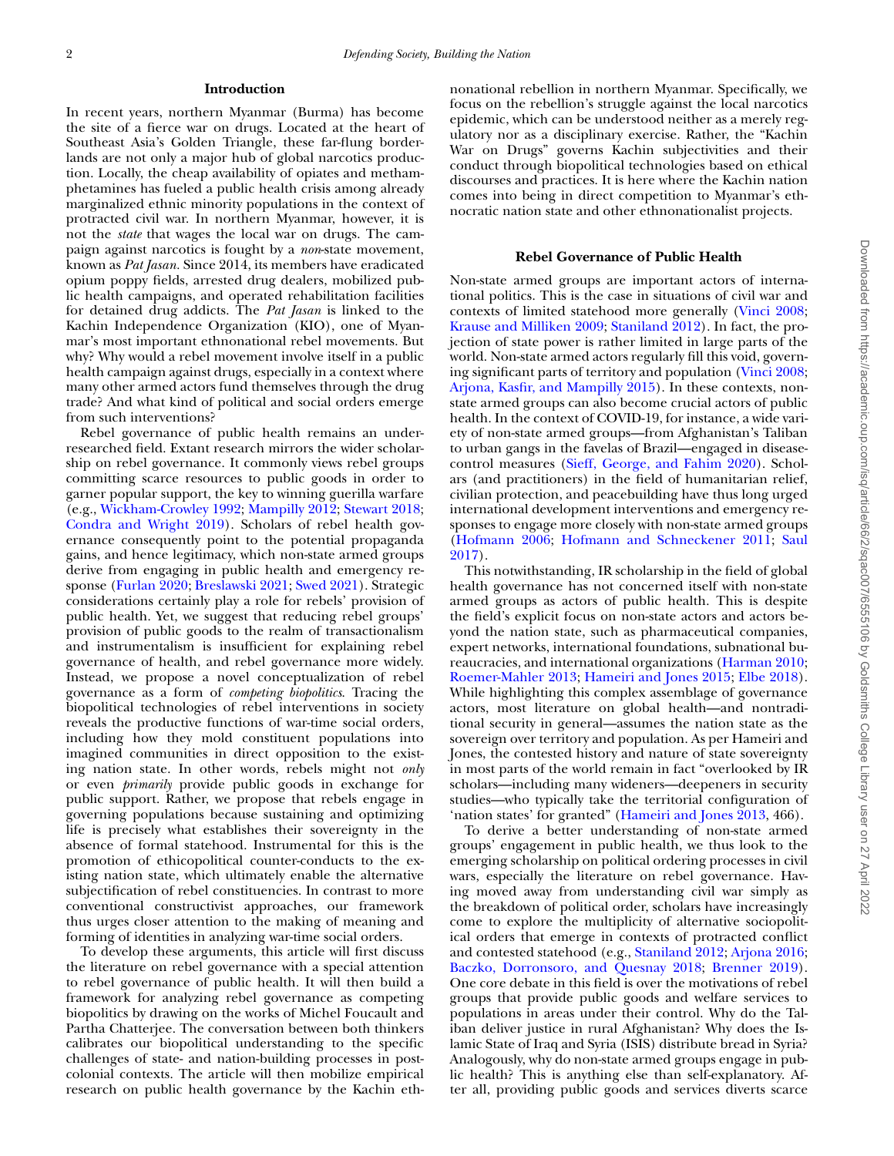## **Introduction**

In recent years, northern Myanmar (Burma) has become the site of a fierce war on drugs. Located at the heart of Southeast Asia's Golden Triangle, these far-flung borderlands are not only a major hub of global narcotics production. Locally, the cheap availability of opiates and methamphetamines has fueled a public health crisis among already marginalized ethnic minority populations in the context of protracted civil war. In northern Myanmar, however, it is not the *state* that wages the local war on drugs. The campaign against narcotics is fought by a *non*-state movement, known as *Pat Jasan.* Since 2014, its members have eradicated opium poppy fields, arrested drug dealers, mobilized public health campaigns, and operated rehabilitation facilities for detained drug addicts. The *Pat Jasan* is linked to the Kachin Independence Organization (KIO), one of Myanmar's most important ethnonational rebel movements. But why? Why would a rebel movement involve itself in a public health campaign against drugs, especially in a context where many other armed actors fund themselves through the drug trade? And what kind of political and social orders emerge from such interventions?

Rebel governance of public health remains an underresearched field. Extant research mirrors the wider scholarship on rebel governance. It commonly views rebel groups committing scarce resources to public goods in order to garner popular support, the key to winning guerilla warfare (e.g., [Wickham-Crowley](#page-11-0) 1992; [Mampilly](#page-11-1) 2012; [Stewart](#page-11-2) 2018; [Condra](#page-10-0) and Wright 2019). Scholars of rebel health governance consequently point to the potential propaganda gains, and hence legitimacy, which non-state armed groups derive from engaging in public health and emergency response [\(Furlan](#page-10-1) 2020; [Breslawski](#page-10-2) 2021; [Swed](#page-11-3) 2021). Strategic considerations certainly play a role for rebels' provision of public health. Yet, we suggest that reducing rebel groups' provision of public goods to the realm of transactionalism and instrumentalism is insufficient for explaining rebel governance of health, and rebel governance more widely. Instead, we propose a novel conceptualization of rebel governance as a form of *competing biopolitics*. Tracing the biopolitical technologies of rebel interventions in society reveals the productive functions of war-time social orders, including how they mold constituent populations into imagined communities in direct opposition to the existing nation state. In other words, rebels might not *only* or even *primarily* provide public goods in exchange for public support. Rather, we propose that rebels engage in governing populations because sustaining and optimizing life is precisely what establishes their sovereignty in the absence of formal statehood. Instrumental for this is the promotion of ethicopolitical counter-conducts to the existing nation state, which ultimately enable the alternative subjectification of rebel constituencies. In contrast to more conventional constructivist approaches, our framework thus urges closer attention to the making of meaning and forming of identities in analyzing war-time social orders.

To develop these arguments, this article will first discuss the literature on rebel governance with a special attention to rebel governance of public health. It will then build a framework for analyzing rebel governance as competing biopolitics by drawing on the works of Michel Foucault and Partha Chatterjee. The conversation between both thinkers calibrates our biopolitical understanding to the specific challenges of state- and nation-building processes in postcolonial contexts. The article will then mobilize empirical research on public health governance by the Kachin ethnonational rebellion in northern Myanmar. Specifically, we focus on the rebellion's struggle against the local narcotics epidemic, which can be understood neither as a merely regulatory nor as a disciplinary exercise. Rather, the "Kachin War on Drugs" governs Kachin subjectivities and their conduct through biopolitical technologies based on ethical discourses and practices. It is here where the Kachin nation comes into being in direct competition to Myanmar's ethnocratic nation state and other ethnonationalist projects.

#### **Rebel Governance of Public Health**

Non-state armed groups are important actors of international politics. This is the case in situations of civil war and contexts of limited statehood more generally [\(Vinci](#page-11-4) 2008; Krause and [Milliken](#page-11-5) 2009; [Staniland](#page-11-6) 2012). In fact, the projection of state power is rather limited in large parts of the world. Non-state armed actors regularly fill this void, governing significant parts of territory and population [\(Vinci](#page-11-4) 2008; Arjona, Kasfir, and [Mampilly](#page-10-3) 2015). In these contexts, nonstate armed groups can also become crucial actors of public health. In the context of COVID-19, for instance, a wide variety of non-state armed groups—from Afghanistan's Taliban to urban gangs in the favelas of Brazil—engaged in diseasecontrol measures (Sieff, [George,](#page-11-7) and Fahim 2020). Scholars (and practitioners) in the field of humanitarian relief, civilian protection, and peacebuilding have thus long urged international development interventions and emergency responses to engage more closely with non-state armed groups [\(Hofmann](#page-10-4) 2006; Hofmann and [Schneckener](#page-11-8) 2011; Saul 2017).

This notwithstanding, IR scholarship in the field of global health governance has not concerned itself with non-state armed groups as actors of public health. This is despite the field's explicit focus on non-state actors and actors beyond the nation state, such as pharmaceutical companies, expert networks, international foundations, subnational bureaucracies, and international organizations [\(Harman](#page-10-5) 2010; [Roemer-Mahler](#page-11-10) 2013; [Hameiri](#page-10-6) and Jones 2015; Elbe [2018\)](#page-10-7). While highlighting this complex assemblage of governance actors, most literature on global health—and nontraditional security in general—assumes the nation state as the sovereign over territory and population. As per Hameiri and Jones, the contested history and nature of state sovereignty in most parts of the world remain in fact "overlooked by IR scholars—including many wideners—deepeners in security studies—who typically take the territorial configuration of 'nation states' for granted" [\(Hameiri](#page-10-8) and Jones 2013, 466).

To derive a better understanding of non-state armed groups' engagement in public health, we thus look to the emerging scholarship on political ordering processes in civil wars, especially the literature on rebel governance. Having moved away from understanding civil war simply as the breakdown of political order, scholars have increasingly come to explore the multiplicity of alternative sociopolitical orders that emerge in contexts of protracted conflict and contested statehood (e.g., [Staniland](#page-11-6) 2012; [Arjona](#page-10-9) 2016; Baczko, [Dorronsoro,](#page-10-10) and Quesnay 2018; [Brenner](#page-10-11) 2019). One core debate in this field is over the motivations of rebel groups that provide public goods and welfare services to populations in areas under their control. Why do the Taliban deliver justice in rural Afghanistan? Why does the Islamic State of Iraq and Syria (ISIS) distribute bread in Syria? Analogously, why do non-state armed groups engage in public health? This is anything else than self-explanatory. After all, providing public goods and services diverts scarce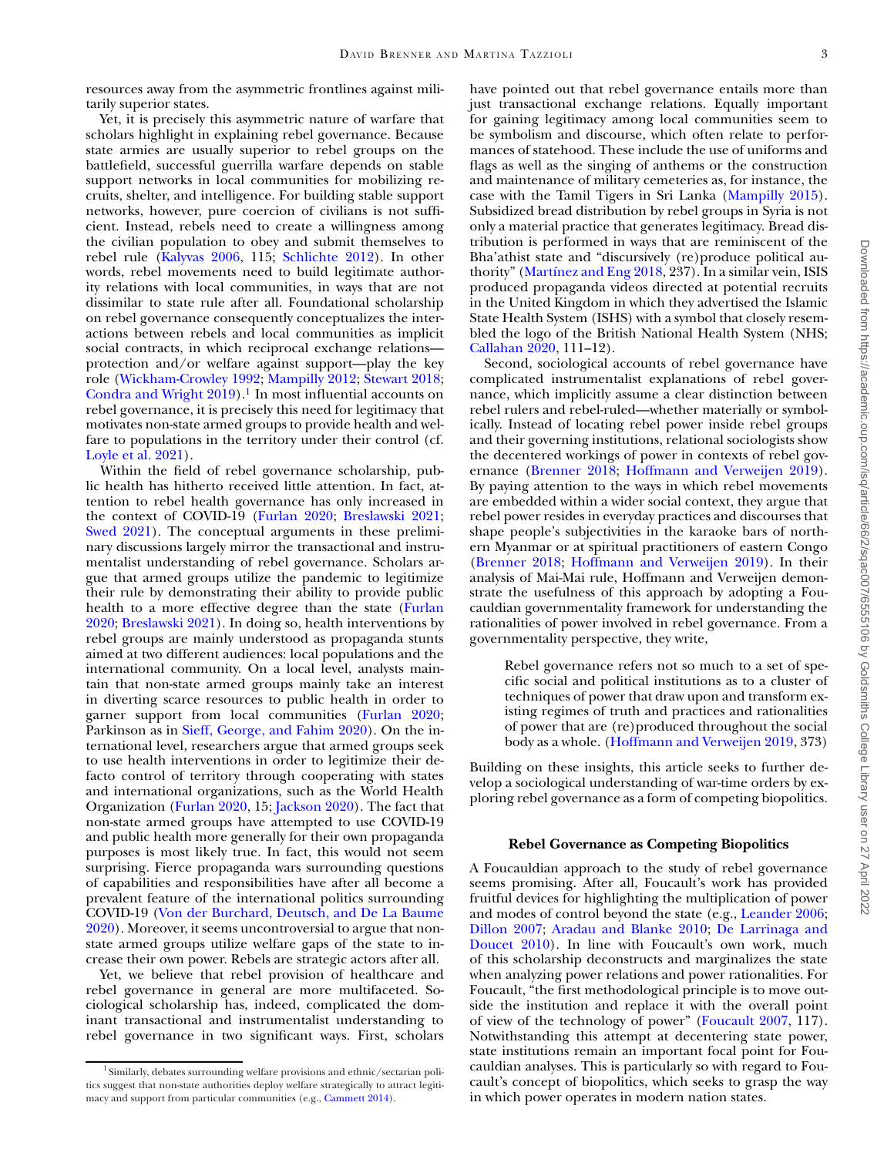resources away from the asymmetric frontlines against militarily superior states.

Yet, it is precisely this asymmetric nature of warfare that scholars highlight in explaining rebel governance. Because state armies are usually superior to rebel groups on the battlefield, successful guerrilla warfare depends on stable support networks in local communities for mobilizing recruits, shelter, and intelligence. For building stable support networks, however, pure coercion of civilians is not sufficient. Instead, rebels need to create a willingness among the civilian population to obey and submit themselves to rebel rule [\(Kalyvas](#page-11-11) 2006, 115; [Schlichte](#page-11-12) 2012). In other words, rebel movements need to build legitimate authority relations with local communities, in ways that are not dissimilar to state rule after all. Foundational scholarship on rebel governance consequently conceptualizes the interactions between rebels and local communities as implicit social contracts, in which reciprocal exchange relations protection and/or welfare against support—play the key role [\(Wickham-Crowley](#page-11-0) 1992; [Mampilly](#page-11-1) 2012; [Stewart](#page-11-2) 2018; [Condra](#page-10-0) and Wright  $2019$ .<sup>1</sup> In most influential accounts on rebel governance, it is precisely this need for legitimacy that motivates non-state armed groups to provide health and welfare to populations in the territory under their control (cf. [Loyle](#page-11-13) et al. 2021).

Within the field of rebel governance scholarship, public health has hitherto received little attention. In fact, attention to rebel health governance has only increased in the context of COVID-19 [\(Furlan](#page-10-1) 2020; [Breslawski](#page-10-2) 2021; [Swed](#page-11-3) 2021). The conceptual arguments in these preliminary discussions largely mirror the transactional and instrumentalist understanding of rebel governance. Scholars argue that armed groups utilize the pandemic to legitimize their rule by demonstrating their ability to provide public health to a more effective degree than the state (Furlan 2020; [Breslawski](#page-10-2) 2021). In doing so, health [interventions](#page-10-1) by rebel groups are mainly understood as propaganda stunts aimed at two different audiences: local populations and the international community. On a local level, analysts maintain that non-state armed groups mainly take an interest in diverting scarce resources to public health in order to garner support from local communities [\(Furlan](#page-10-1) 2020; Parkinson as in Sieff, [George,](#page-11-7) and Fahim 2020). On the international level, researchers argue that armed groups seek to use health interventions in order to legitimize their defacto control of territory through cooperating with states and international organizations, such as the World Health Organization [\(Furlan](#page-10-1) 2020, 15; [Jackson](#page-11-14) 2020). The fact that non-state armed groups have attempted to use COVID-19 and public health more generally for their own propaganda purposes is most likely true. In fact, this would not seem surprising. Fierce propaganda wars surrounding questions of capabilities and responsibilities have after all become a prevalent feature of the international politics surrounding COVID-19 (Von der Burchard, Deutsch, and De La Baume 2020). Moreover, it seems [uncontroversial](#page-11-15) to argue that nonstate armed groups utilize welfare gaps of the state to increase their own power. Rebels are strategic actors after all.

Yet, we believe that rebel provision of healthcare and rebel governance in general are more multifaceted. Sociological scholarship has, indeed, complicated the dominant transactional and instrumentalist understanding to rebel governance in two significant ways. First, scholars

have pointed out that rebel governance entails more than just transactional exchange relations. Equally important for gaining legitimacy among local communities seem to be symbolism and discourse, which often relate to performances of statehood. These include the use of uniforms and flags as well as the singing of anthems or the construction and maintenance of military cemeteries as, for instance, the case with the Tamil Tigers in Sri Lanka [\(Mampilly](#page-11-16) 2015). Subsidized bread distribution by rebel groups in Syria is not only a material practice that generates legitimacy. Bread distribution is performed in ways that are reminiscent of the Bha'athist state and "discursively (re)produce political authority" [\(Martínez](#page-11-17) and Eng 2018, 237). In a similar vein, ISIS produced propaganda videos directed at potential recruits in the United Kingdom in which they advertised the Islamic State Health System (ISHS) with a symbol that closely resembled the logo of the British National Health System (NHS; [Callahan](#page-10-13) 2020, 111–12).

Second, sociological accounts of rebel governance have complicated instrumentalist explanations of rebel governance, which implicitly assume a clear distinction between rebel rulers and rebel-ruled—whether materially or symbolically. Instead of locating rebel power inside rebel groups and their governing institutions, relational sociologists show the decentered workings of power in contexts of rebel governance [\(Brenner](#page-10-14) 2018; [Hoffmann](#page-10-15) and Verweijen 2019). By paying attention to the ways in which rebel movements are embedded within a wider social context, they argue that rebel power resides in everyday practices and discourses that shape people's subjectivities in the karaoke bars of northern Myanmar or at spiritual practitioners of eastern Congo [\(Brenner](#page-10-14) 2018; [Hoffmann](#page-10-15) and Verweijen 2019). In their analysis of Mai-Mai rule, Hoffmann and Verweijen demonstrate the usefulness of this approach by adopting a Foucauldian governmentality framework for understanding the rationalities of power involved in rebel governance. From a governmentality perspective, they write,

Rebel governance refers not so much to a set of specific social and political institutions as to a cluster of techniques of power that draw upon and transform existing regimes of truth and practices and rationalities of power that are (re)produced throughout the social body as a whole. [\(Hoffmann](#page-10-15) and Verweijen 2019, 373)

Building on these insights, this article seeks to further develop a sociological understanding of war-time orders by exploring rebel governance as a form of competing biopolitics.

## **Rebel Governance as Competing Biopolitics**

A Foucauldian approach to the study of rebel governance seems promising. After all, Foucault's work has provided fruitful devices for highlighting the multiplication of power and modes of control beyond the state (e.g., [Leander](#page-11-18) 2006; [Dillon](#page-10-16) 2007; [Aradau](#page-10-17) and Blanke 2010; De Larrinaga and Doucet 2010). In line with [Foucault's](#page-10-18) own work, much of this scholarship deconstructs and marginalizes the state when analyzing power relations and power rationalities. For Foucault, "the first methodological principle is to move outside the institution and replace it with the overall point of view of the technology of power" [\(Foucault](#page-10-19) 2007, 117). Notwithstanding this attempt at decentering state power, state institutions remain an important focal point for Foucauldian analyses. This is particularly so with regard to Foucault's concept of biopolitics, which seeks to grasp the way in which power operates in modern nation states.

<span id="page-2-0"></span> $1$  Similarly, debates surrounding welfare provisions and ethnic/sectarian politics suggest that non-state authorities deploy welfare strategically to attract legitimacy and support from particular communities (e.g., [Cammett](#page-10-12) 2014).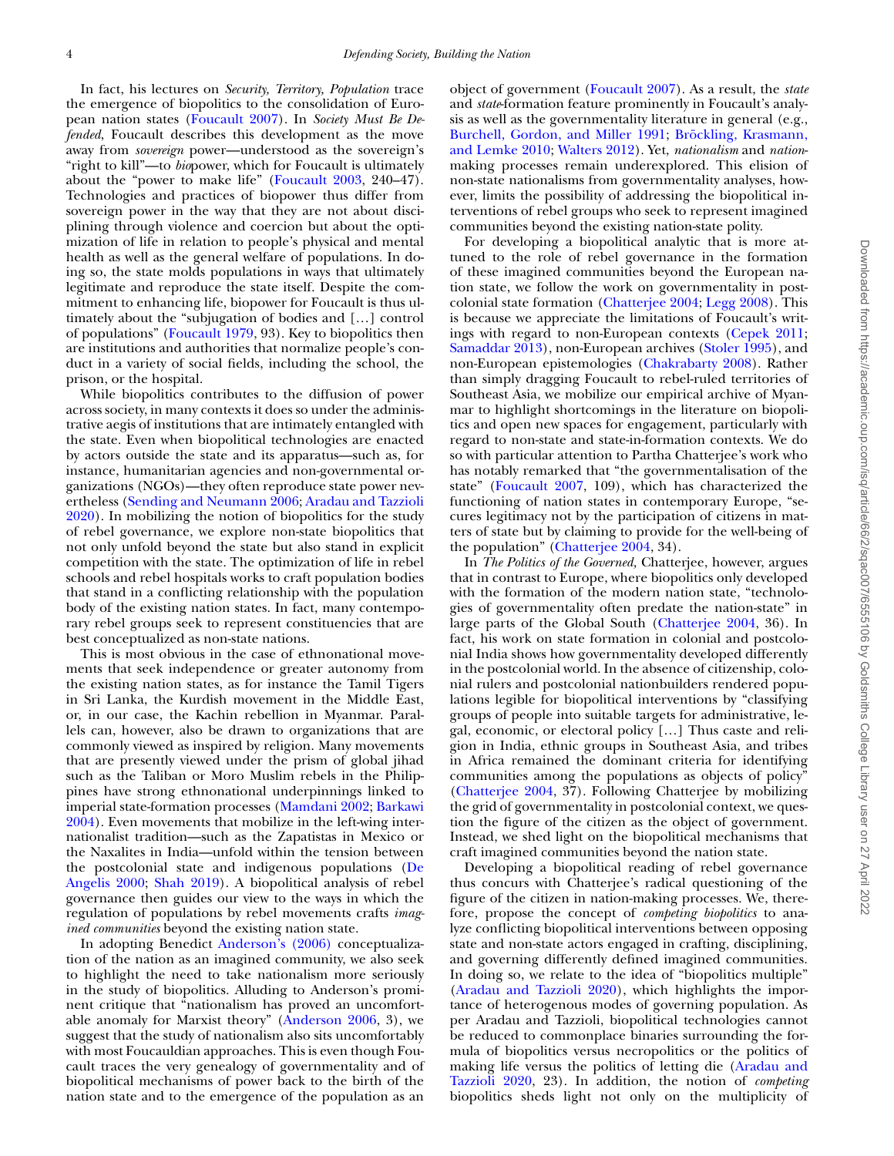In fact, his lectures on *Security, Territory, Population* trace the emergence of biopolitics to the consolidation of European nation states [\(Foucault](#page-10-19) 2007). In *Society Must Be Defended*, Foucault describes this development as the move away from *sovereign* power—understood as the sovereign's "right to kill"—to *bio*power, which for Foucault is ultimately about the "power to make life" [\(Foucault](#page-10-20) 2003, 240–47). Technologies and practices of biopower thus differ from sovereign power in the way that they are not about disciplining through violence and coercion but about the optimization of life in relation to people's physical and mental health as well as the general welfare of populations. In doing so, the state molds populations in ways that ultimately legitimate and reproduce the state itself. Despite the commitment to enhancing life, biopower for Foucault is thus ultimately about the "subjugation of bodies and […] control of populations" [\(Foucault](#page-10-21) 1979, 93). Key to biopolitics then are institutions and authorities that normalize people's conduct in a variety of social fields, including the school, the prison, or the hospital.

While biopolitics contributes to the diffusion of power across society, in many contexts it does so under the administrative aegis of institutions that are intimately entangled with the state. Even when biopolitical technologies are enacted by actors outside the state and its apparatus—such as, for instance, humanitarian agencies and non-governmental organizations (NGOs)—they often reproduce state power nevertheless (Sending and [Neumann](#page-11-19) 2006; Aradau and Tazzioli 2020). In [mobilizing](#page-10-22) the notion of biopolitics for the study of rebel governance, we explore non-state biopolitics that not only unfold beyond the state but also stand in explicit competition with the state. The optimization of life in rebel schools and rebel hospitals works to craft population bodies that stand in a conflicting relationship with the population body of the existing nation states. In fact, many contemporary rebel groups seek to represent constituencies that are best conceptualized as non-state nations.

This is most obvious in the case of ethnonational movements that seek independence or greater autonomy from the existing nation states, as for instance the Tamil Tigers in Sri Lanka, the Kurdish movement in the Middle East, or, in our case, the Kachin rebellion in Myanmar. Parallels can, however, also be drawn to organizations that are commonly viewed as inspired by religion. Many movements that are presently viewed under the prism of global jihad such as the Taliban or Moro Muslim rebels in the Philippines have strong ethnonational underpinnings linked to imperial [state-formation](#page-10-23) processes [\(Mamdani](#page-11-20) 2002; Barkawi 2004). Even movements that mobilize in the left-wing internationalist tradition—such as the Zapatistas in Mexico or the Naxalites in India—unfold within the tension between the [postcolonial](#page-10-24) state and indigenous populations (De Angelis 2000; [Shah](#page-11-21) 2019). A biopolitical analysis of rebel governance then guides our view to the ways in which the regulation of populations by rebel movements crafts *imagined communities* beyond the existing nation state.

In adopting Benedict [Anderson's](#page-10-25) (2006) conceptualization of the nation as an imagined community, we also seek to highlight the need to take nationalism more seriously in the study of biopolitics. Alluding to Anderson's prominent critique that "nationalism has proved an uncomfortable anomaly for Marxist theory" [\(Anderson](#page-10-25) 2006, 3), we suggest that the study of nationalism also sits uncomfortably with most Foucauldian approaches. This is even though Foucault traces the very genealogy of governmentality and of biopolitical mechanisms of power back to the birth of the nation state and to the emergence of the population as an object of government [\(Foucault](#page-10-19) 2007). As a result, the *state* and *state*-formation feature prominently in Foucault's analysis as well as the governmentality literature in general (e.g., [Burchell,](#page-10-26) Gordon, and Miller 1991; Bröckling, [Krasmann,](#page-10-27) and Lemke 2010; [Walters](#page-11-22) 2012). Yet, *nationalism* and *nation*making processes remain underexplored. This elision of non-state nationalisms from governmentality analyses, however, limits the possibility of addressing the biopolitical interventions of rebel groups who seek to represent imagined communities beyond the existing nation-state polity.

For developing a biopolitical analytic that is more attuned to the role of rebel governance in the formation of these imagined communities beyond the European nation state, we follow the work on governmentality in postcolonial state formation [\(Chatterjee](#page-10-28) 2004; [Legg](#page-11-23) 2008). This is because we appreciate the limitations of Foucault's writ-ings with regard to non-European contexts [\(Cepek](#page-10-29) 2011; [Samaddar](#page-11-24) 2013), non-European archives [\(Stoler](#page-11-25) 1995), and non-European epistemologies [\(Chakrabarty](#page-10-30) 2008). Rather than simply dragging Foucault to rebel-ruled territories of Southeast Asia, we mobilize our empirical archive of Myanmar to highlight shortcomings in the literature on biopolitics and open new spaces for engagement, particularly with regard to non-state and state-in-formation contexts. We do so with particular attention to Partha Chatterjee's work who has notably remarked that "the governmentalisation of the state" [\(Foucault](#page-10-19) 2007, 109), which has characterized the functioning of nation states in contemporary Europe, "secures legitimacy not by the participation of citizens in matters of state but by claiming to provide for the well-being of the population" [\(Chatterjee](#page-10-28) 2004, 34).

In *The Politics of the Governed,* Chatterjee, however, argues that in contrast to Europe, where biopolitics only developed with the formation of the modern nation state, "technologies of governmentality often predate the nation-state" in large parts of the Global South [\(Chatterjee](#page-10-28) 2004, 36). In fact, his work on state formation in colonial and postcolonial India shows how governmentality developed differently in the postcolonial world. In the absence of citizenship, colonial rulers and postcolonial nationbuilders rendered populations legible for biopolitical interventions by "classifying groups of people into suitable targets for administrative, legal, economic, or electoral policy […] Thus caste and religion in India, ethnic groups in Southeast Asia, and tribes in Africa remained the dominant criteria for identifying communities among the populations as objects of policy" [\(Chatterjee](#page-10-28) 2004, 37). Following Chatterjee by mobilizing the grid of governmentality in postcolonial context, we question the figure of the citizen as the object of government. Instead, we shed light on the biopolitical mechanisms that craft imagined communities beyond the nation state.

Developing a biopolitical reading of rebel governance thus concurs with Chatterjee's radical questioning of the figure of the citizen in nation-making processes. We, therefore, propose the concept of *competing biopolitics* to analyze conflicting biopolitical interventions between opposing state and non-state actors engaged in crafting, disciplining, and governing differently defined imagined communities. In doing so, we relate to the idea of "biopolitics multiple" [\(Aradau](#page-10-22) and Tazzioli 2020), which highlights the importance of heterogenous modes of governing population. As per Aradau and Tazzioli, biopolitical technologies cannot be reduced to commonplace binaries surrounding the formula of biopolitics versus necropolitics or the politics of making life versus the politics of letting die (Aradau and Tazzioli 2020, 23). In [addition,](#page-10-22) the notion of *competing* biopolitics sheds light not only on the multiplicity of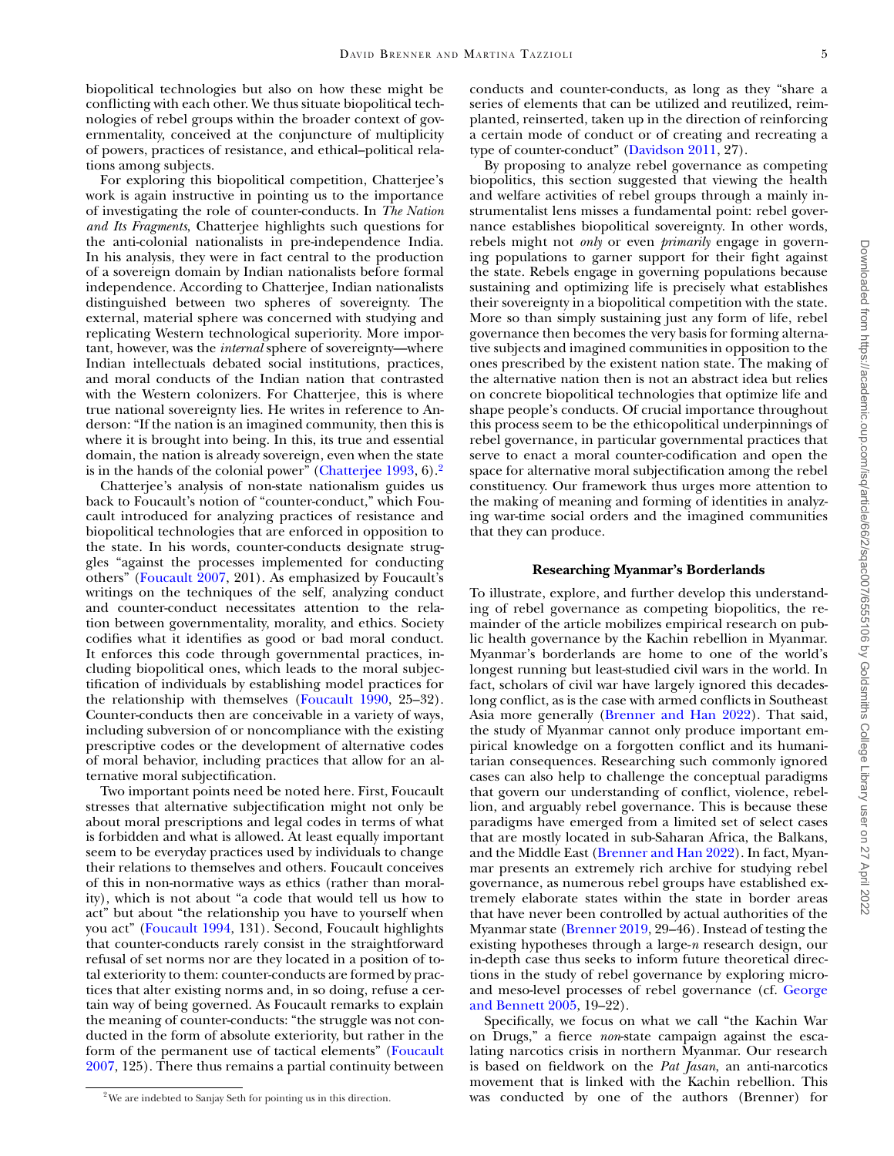biopolitical technologies but also on how these might be conflicting with each other. We thus situate biopolitical technologies of rebel groups within the broader context of governmentality, conceived at the conjuncture of multiplicity of powers, practices of resistance, and ethical–political relations among subjects.

For exploring this biopolitical competition, Chatterjee's work is again instructive in pointing us to the importance of investigating the role of counter-conducts. In *The Nation and Its Fragments*, Chatterjee highlights such questions for the anti-colonial nationalists in pre-independence India. In his analysis, they were in fact central to the production of a sovereign domain by Indian nationalists before formal independence. According to Chatterjee, Indian nationalists distinguished between two spheres of sovereignty. The external, material sphere was concerned with studying and replicating Western technological superiority. More important, however, was the *internal* sphere of sovereignty—where Indian intellectuals debated social institutions, practices, and moral conducts of the Indian nation that contrasted with the Western colonizers. For Chatterjee, this is where true national sovereignty lies. He writes in reference to Anderson: "If the nation is an imagined community, then this is where it is brought into being. In this, its true and essential domain, the nation is already sovereign, even when the state is in the hands of the colonial power" [\(Chatterjee](#page-10-31) 1993, 6)[.2](#page-4-0)

Chatterjee's analysis of non-state nationalism guides us back to Foucault's notion of "counter-conduct," which Foucault introduced for analyzing practices of resistance and biopolitical technologies that are enforced in opposition to the state. In his words, counter-conducts designate struggles "against the processes implemented for conducting others" [\(Foucault](#page-10-19) 2007, 201). As emphasized by Foucault's writings on the techniques of the self, analyzing conduct and counter-conduct necessitates attention to the relation between governmentality, morality, and ethics. Society codifies what it identifies as good or bad moral conduct. It enforces this code through governmental practices, including biopolitical ones, which leads to the moral subjectification of individuals by establishing model practices for the relationship with themselves [\(Foucault](#page-10-32) 1990, 25–32). Counter-conducts then are conceivable in a variety of ways, including subversion of or noncompliance with the existing prescriptive codes or the development of alternative codes of moral behavior, including practices that allow for an alternative moral subjectification.

Two important points need be noted here. First, Foucault stresses that alternative subjectification might not only be about moral prescriptions and legal codes in terms of what is forbidden and what is allowed. At least equally important seem to be everyday practices used by individuals to change their relations to themselves and others. Foucault conceives of this in non-normative ways as ethics (rather than morality), which is not about "a code that would tell us how to act" but about "the relationship you have to yourself when you act" [\(Foucault](#page-10-33) 1994, 131). Second, Foucault highlights that counter-conducts rarely consist in the straightforward refusal of set norms nor are they located in a position of total exteriority to them: counter-conducts are formed by practices that alter existing norms and, in so doing, refuse a certain way of being governed. As Foucault remarks to explain the meaning of counter-conducts: "the struggle was not conducted in the form of absolute exteriority, but rather in the form of the permanent use of tactical [elements" \(Foucault](#page-10-19) 2007, 125). There thus remains a partial continuity between

conducts and counter-conducts, as long as they "share a series of elements that can be utilized and reutilized, reimplanted, reinserted, taken up in the direction of reinforcing a certain mode of conduct or of creating and recreating a type of counter-conduct" [\(Davidson](#page-10-34) 2011, 27).

By proposing to analyze rebel governance as competing biopolitics, this section suggested that viewing the health and welfare activities of rebel groups through a mainly instrumentalist lens misses a fundamental point: rebel governance establishes biopolitical sovereignty. In other words, rebels might not *only* or even *primarily* engage in governing populations to garner support for their fight against the state. Rebels engage in governing populations because sustaining and optimizing life is precisely what establishes their sovereignty in a biopolitical competition with the state. More so than simply sustaining just any form of life, rebel governance then becomes the very basis for forming alternative subjects and imagined communities in opposition to the ones prescribed by the existent nation state. The making of the alternative nation then is not an abstract idea but relies on concrete biopolitical technologies that optimize life and shape people's conducts. Of crucial importance throughout this process seem to be the ethicopolitical underpinnings of rebel governance, in particular governmental practices that serve to enact a moral counter-codification and open the space for alternative moral subjectification among the rebel constituency. Our framework thus urges more attention to the making of meaning and forming of identities in analyzing war-time social orders and the imagined communities that they can produce.

## **Researching Myanmar's Borderlands**

To illustrate, explore, and further develop this understanding of rebel governance as competing biopolitics, the remainder of the article mobilizes empirical research on public health governance by the Kachin rebellion in Myanmar. Myanmar's borderlands are home to one of the world's longest running but least-studied civil wars in the world. In fact, scholars of civil war have largely ignored this decadeslong conflict, as is the case with armed conflicts in Southeast Asia more generally [\(Brenner](#page-10-35) and Han 2022). That said, the study of Myanmar cannot only produce important empirical knowledge on a forgotten conflict and its humanitarian consequences. Researching such commonly ignored cases can also help to challenge the conceptual paradigms that govern our understanding of conflict, violence, rebellion, and arguably rebel governance. This is because these paradigms have emerged from a limited set of select cases that are mostly located in sub-Saharan Africa, the Balkans, and the Middle East [\(Brenner](#page-10-35) and Han 2022). In fact, Myanmar presents an extremely rich archive for studying rebel governance, as numerous rebel groups have established extremely elaborate states within the state in border areas that have never been controlled by actual authorities of the Myanmar state [\(Brenner](#page-10-11) 2019, 29–46). Instead of testing the existing hypotheses through a large-*n* research design, our in-depth case thus seeks to inform future theoretical directions in the study of rebel governance by exploring microand meso-level processes of rebel [governance](#page-10-36) (cf. George and Bennett 2005, 19–22).

Specifically, we focus on what we call "the Kachin War on Drugs," a fierce *non*-state campaign against the escalating narcotics crisis in northern Myanmar. Our research is based on fieldwork on the *Pat Jasan*, an anti-narcotics movement that is linked with the Kachin rebellion. This was conducted by one of the authors (Brenner) for

<span id="page-4-0"></span><sup>&</sup>lt;sup>2</sup>We are indebted to Sanjay Seth for pointing us in this direction.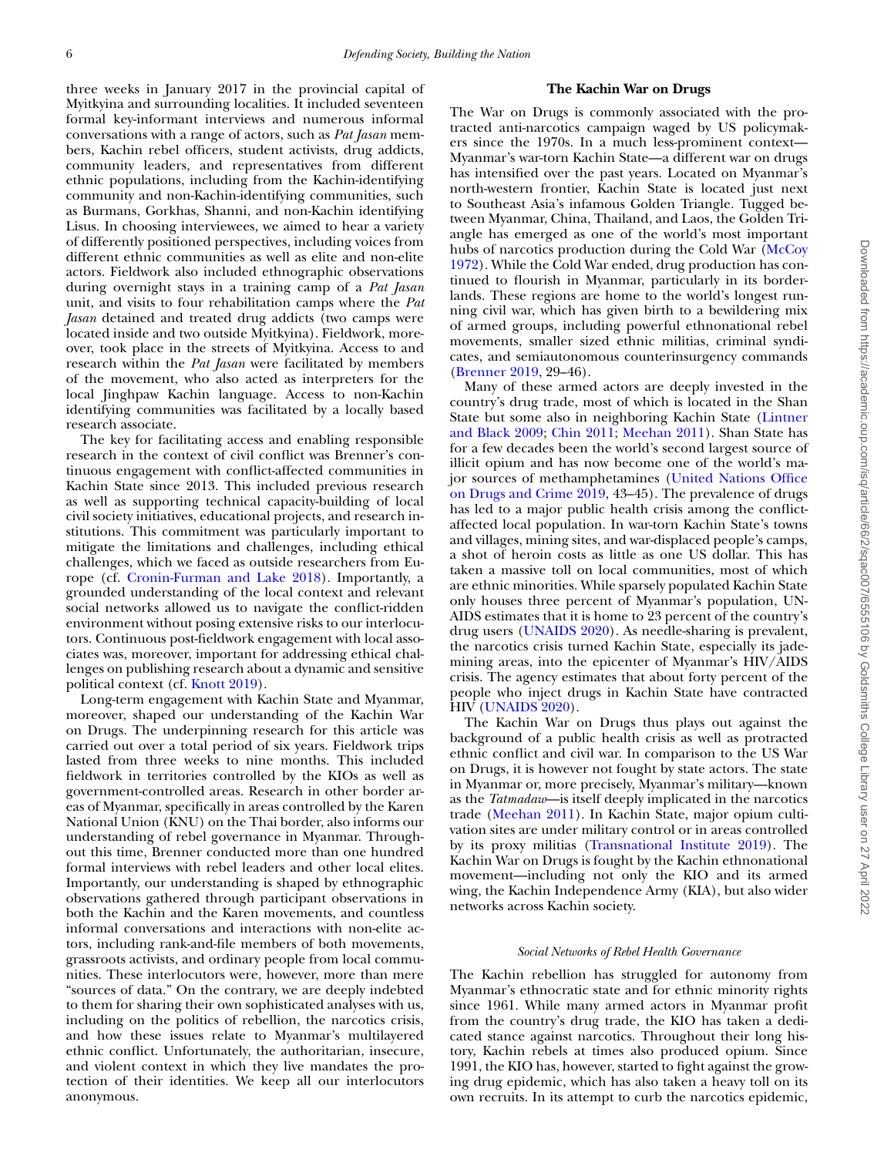three weeks in January 2017 in the provincial capital of Myitkyina and surrounding localities. It included seventeen formal key-informant interviews and numerous informal conversations with a range of actors, such as *Pat Jasan* members, Kachin rebel officers, student activists, drug addicts, community leaders, and representatives from different ethnic populations, including from the Kachin-identifying community and non-Kachin-identifying communities, such as Burmans, Gorkhas, Shanni, and non-Kachin identifying Lisus. In choosing interviewees, we aimed to hear a variety of differently positioned perspectives, including voices from different ethnic communities as well as elite and non-elite actors. Fieldwork also included ethnographic observations during overnight stays in a training camp of a *Pat Jasan* unit, and visits to four rehabilitation camps where the *Pat Jasan* detained and treated drug addicts (two camps were located inside and two outside Myitkyina). Fieldwork, moreover, took place in the streets of Myitkyina. Access to and research within the *Pat Jasan* were facilitated by members of the movement, who also acted as interpreters for the local Jinghpaw Kachin language. Access to non-Kachin identifying communities was facilitated by a locally based research associate.

The key for facilitating access and enabling responsible research in the context of civil conflict was Brenner's continuous engagement with conflict-affected communities in Kachin State since 2013. This included previous research as well as supporting technical capacity-building of local civil society initiatives, educational projects, and research institutions. This commitment was particularly important to mitigate the limitations and challenges, including ethical challenges, which we faced as outside researchers from Europe (cf. [Cronin-Furman](#page-10-37) and Lake 2018). Importantly, a grounded understanding of the local context and relevant social networks allowed us to navigate the conflict-ridden environment without posing extensive risks to our interlocutors. Continuous post-fieldwork engagement with local associates was, moreover, important for addressing ethical challenges on publishing research about a dynamic and sensitive political context (cf. [Knott](#page-11-26) 2019).

Long-term engagement with Kachin State and Myanmar, moreover, shaped our understanding of the Kachin War on Drugs. The underpinning research for this article was carried out over a total period of six years. Fieldwork trips lasted from three weeks to nine months. This included fieldwork in territories controlled by the KIOs as well as government-controlled areas. Research in other border areas of Myanmar, specifically in areas controlled by the Karen National Union (KNU) on the Thai border, also informs our understanding of rebel governance in Myanmar. Throughout this time, Brenner conducted more than one hundred formal interviews with rebel leaders and other local elites. Importantly, our understanding is shaped by ethnographic observations gathered through participant observations in both the Kachin and the Karen movements, and countless informal conversations and interactions with non-elite actors, including rank-and-file members of both movements, grassroots activists, and ordinary people from local communities. These interlocutors were, however, more than mere "sources of data." On the contrary, we are deeply indebted to them for sharing their own sophisticated analyses with us, including on the politics of rebellion, the narcotics crisis, and how these issues relate to Myanmar's multilayered ethnic conflict. Unfortunately, the authoritarian, insecure, and violent context in which they live mandates the protection of their identities. We keep all our interlocutors anonymous.

## **The Kachin War on Drugs**

The War on Drugs is commonly associated with the protracted anti-narcotics campaign waged by US policymakers since the 1970s. In a much less-prominent context— Myanmar's war-torn Kachin State—a different war on drugs has intensified over the past years. Located on Myanmar's north-western frontier, Kachin State is located just next to Southeast Asia's infamous Golden Triangle. Tugged between Myanmar, China, Thailand, and Laos, the Golden Triangle has emerged as one of the world's most important hubs of narcotics production during the Cold War (McCoy 1972). While the Cold War ended, drug [production](#page-11-27) has continued to flourish in Myanmar, particularly in its borderlands. These regions are home to the world's longest running civil war, which has given birth to a bewildering mix of armed groups, including powerful ethnonational rebel movements, smaller sized ethnic militias, criminal syndicates, and semiautonomous counterinsurgency commands [\(Brenner](#page-10-11) 2019, 29–46).

Many of these armed actors are deeply invested in the country's drug trade, most of which is located in the Shan State but some also in [neighboring](#page-11-28) Kachin State (Lintner and Black 2009; Chin [2011;](#page-10-38) [Meehan](#page-11-29) 2011). Shan State has for a few decades been the world's second largest source of illicit opium and has now become one of the world's major sources of [methamphetamines](#page-11-30) (United Nations Office on Drugs and Crime 2019, 43–45). The prevalence of drugs has led to a major public health crisis among the conflictaffected local population. In war-torn Kachin State's towns and villages, mining sites, and war-displaced people's camps, a shot of heroin costs as little as one US dollar. This has taken a massive toll on local communities, most of which are ethnic minorities. While sparsely populated Kachin State only houses three percent of Myanmar's population, UN-AIDS estimates that it is home to 23 percent of the country's drug users [\(UNAIDS](#page-11-31) 2020). As needle-sharing is prevalent, the narcotics crisis turned Kachin State, especially its jademining areas, into the epicenter of Myanmar's HIV/AIDS crisis. The agency estimates that about forty percent of the people who inject drugs in Kachin State have contracted HIV [\(UNAIDS](#page-11-31) 2020).

The Kachin War on Drugs thus plays out against the background of a public health crisis as well as protracted ethnic conflict and civil war. In comparison to the US War on Drugs, it is however not fought by state actors. The state in Myanmar or, more precisely, Myanmar's military—known as the *Tatmadaw*—is itself deeply implicated in the narcotics trade [\(Meehan](#page-11-29) 2011). In Kachin State, major opium cultivation sites are under military control or in areas controlled by its proxy militias [\(Transnational](#page-11-32) Institute 2019). The Kachin War on Drugs is fought by the Kachin ethnonational movement—including not only the KIO and its armed wing, the Kachin Independence Army (KIA), but also wider networks across Kachin society.

#### *Social Networks of Rebel Health Governance*

The Kachin rebellion has struggled for autonomy from Myanmar's ethnocratic state and for ethnic minority rights since 1961. While many armed actors in Myanmar profit from the country's drug trade, the KIO has taken a dedicated stance against narcotics. Throughout their long history, Kachin rebels at times also produced opium. Since 1991, the KIO has, however, started to fight against the growing drug epidemic, which has also taken a heavy toll on its own recruits. In its attempt to curb the narcotics epidemic,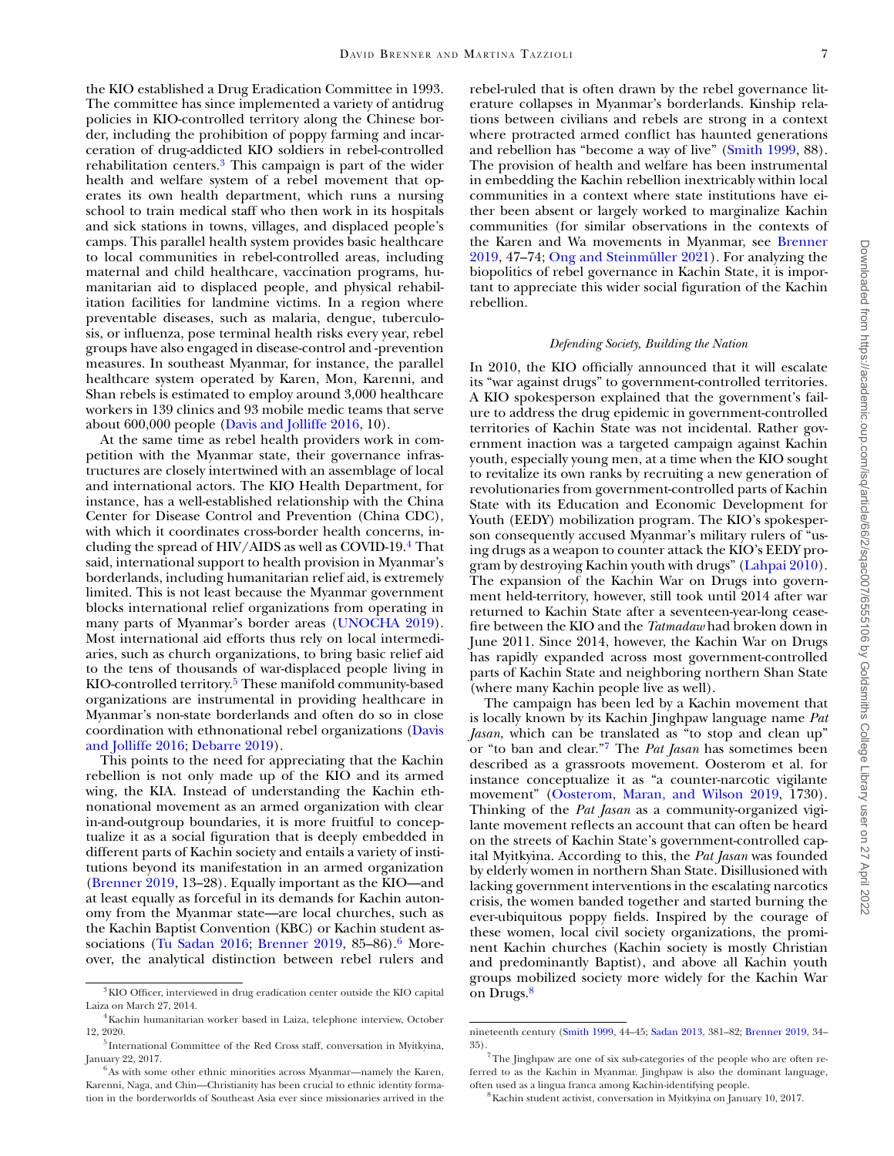the KIO established a Drug Eradication Committee in 1993. The committee has since implemented a variety of antidrug policies in KIO-controlled territory along the Chinese border, including the prohibition of poppy farming and incarceration of drug-addicted KIO soldiers in rebel-controlled rehabilitation centers[.3](#page-6-0) This campaign is part of the wider health and welfare system of a rebel movement that operates its own health department, which runs a nursing school to train medical staff who then work in its hospitals and sick stations in towns, villages, and displaced people's camps. This parallel health system provides basic healthcare to local communities in rebel-controlled areas, including maternal and child healthcare, vaccination programs, humanitarian aid to displaced people, and physical rehabilitation facilities for landmine victims. In a region where preventable diseases, such as malaria, dengue, tuberculosis, or influenza, pose terminal health risks every year, rebel groups have also engaged in disease-control and -prevention measures. In southeast Myanmar, for instance, the parallel healthcare system operated by Karen, Mon, Karenni, and Shan rebels is estimated to employ around 3,000 healthcare workers in 139 clinics and 93 mobile medic teams that serve about 600,000 people (Davis and [Jolliffe](#page-10-39) 2016, 10).

At the same time as rebel health providers work in competition with the Myanmar state, their governance infrastructures are closely intertwined with an assemblage of local and international actors. The KIO Health Department, for instance, has a well-established relationship with the China Center for Disease Control and Prevention (China CDC), with which it coordinates cross-border health concerns, including the spread of HIV/AIDS as well as COVID-19[.4](#page-6-1) That said, international support to health provision in Myanmar's borderlands, including humanitarian relief aid, is extremely limited. This is not least because the Myanmar government blocks international relief organizations from operating in many parts of Myanmar's border areas [\(UNOCHA](#page-11-33) 2019). Most international aid efforts thus rely on local intermediaries, such as church organizations, to bring basic relief aid to the tens of thousands of war-displaced people living in KIO-controlled territory.<sup>5</sup> These manifold community-based organizations are instrumental in providing healthcare in Myanmar's non-state borderlands and often do so in close coordination with [ethnonational](#page-10-39) rebel organizations (Davis and Jolliffe 2016; [Debarre](#page-10-40) 2019).

This points to the need for appreciating that the Kachin rebellion is not only made up of the KIO and its armed wing, the KIA. Instead of understanding the Kachin ethnonational movement as an armed organization with clear in-and-outgroup boundaries, it is more fruitful to conceptualize it as a social figuration that is deeply embedded in different parts of Kachin society and entails a variety of institutions beyond its manifestation in an armed organization [\(Brenner](#page-10-11) 2019, 13–28). Equally important as the KIO—and at least equally as forceful in its demands for Kachin autonomy from the Myanmar state—are local churches, such as the Kachin Baptist Convention (KBC) or Kachin student as-sociations (Tu [Sadan](#page-11-34) 2016; [Brenner](#page-10-11) 2019, 85–86).<sup>6</sup> Moreover, the analytical distinction between rebel rulers and

rebel-ruled that is often drawn by the rebel governance literature collapses in Myanmar's borderlands. Kinship relations between civilians and rebels are strong in a context where protracted armed conflict has haunted generations and rebellion has "become a way of live" [\(Smith](#page-11-35) 1999, 88). The provision of health and welfare has been instrumental in embedding the Kachin rebellion inextricably within local communities in a context where state institutions have either been absent or largely worked to marginalize Kachin communities (for similar observations in the contexts of the Karen and Wa movements in Myanmar, see Brenner 2019, 47–74; Ong and [Steinmüller](#page-10-11) 2021). For analyzing the biopolitics of rebel governance in Kachin State, it is important to appreciate this wider social figuration of the Kachin rebellion.

#### *Defending Society, Building the Nation*

In 2010, the KIO officially announced that it will escalate its "war against drugs" to government-controlled territories. A KIO spokesperson explained that the government's failure to address the drug epidemic in government-controlled territories of Kachin State was not incidental. Rather government inaction was a targeted campaign against Kachin youth, especially young men, at a time when the KIO sought to revitalize its own ranks by recruiting a new generation of revolutionaries from government-controlled parts of Kachin State with its Education and Economic Development for Youth (EEDY) mobilization program. The KIO's spokesperson consequently accused Myanmar's military rulers of "using drugs as a weapon to counter attack the KIO's EEDY program by destroying Kachin youth with drugs" [\(Lahpai](#page-11-37) 2010). The expansion of the Kachin War on Drugs into government held-territory, however, still took until 2014 after war returned to Kachin State after a seventeen-year-long ceasefire between the KIO and the *Tatmadaw* had broken down in June 2011. Since 2014, however, the Kachin War on Drugs has rapidly expanded across most government-controlled parts of Kachin State and neighboring northern Shan State (where many Kachin people live as well).

The campaign has been led by a Kachin movement that is locally known by its Kachin Jinghpaw language name *Pat Jasan*, which can be translated as "to stop and clean up" or "to ban and clear.["7](#page-6-4) The *Pat Jasan* has sometimes been described as a grassroots movement. Oosterom et al. for instance conceptualize it as "a counter-narcotic vigilante movement" [\(Oosterom,](#page-11-38) Maran, and Wilson 2019, 1730). Thinking of the *Pat Jasan* as a community-organized vigilante movement reflects an account that can often be heard on the streets of Kachin State's government-controlled capital Myitkyina. According to this, the *Pat Jasan* was founded by elderly women in northern Shan State. Disillusioned with lacking government interventions in the escalating narcotics crisis, the women banded together and started burning the ever-ubiquitous poppy fields. Inspired by the courage of these women, local civil society organizations, the prominent Kachin churches (Kachin society is mostly Christian and predominantly Baptist), and above all Kachin youth groups mobilized society more widely for the Kachin War on Drugs[.8](#page-6-5)

<span id="page-6-0"></span><sup>3</sup>KIO Officer, interviewed in drug eradication center outside the KIO capital Laiza on March 27, 2014.

<span id="page-6-1"></span><sup>4</sup>Kachin humanitarian worker based in Laiza, telephone interview, October 12, 2020.

<span id="page-6-2"></span><sup>5</sup> International Committee of the Red Cross staff, conversation in Myitkyina, January 22, 2017.

<span id="page-6-3"></span> $^6$ As with some other ethnic minorities across Myanmar—namely the Karen. Karenni, Naga, and Chin—Christianity has been crucial to ethnic identity formation in the borderworlds of Southeast Asia ever since missionaries arrived in the

nineteenth century [\(Smith](#page-11-35) 1999, 44–45; [Sadan](#page-11-39) 2013, 381–82; [Brenner](#page-10-11) 2019, 34–

<span id="page-6-4"></span><sup>35).</sup>  $\frac{7}{7}$ The Jinghpaw are one of six sub-categories of the people who are often referred to as the Kachin in Myanmar. Jinghpaw is also the dominant language, often used as a lingua franca among Kachin-identifying people.

<span id="page-6-5"></span><sup>8</sup>Kachin student activist, conversation in Myitkyina on January 10, 2017.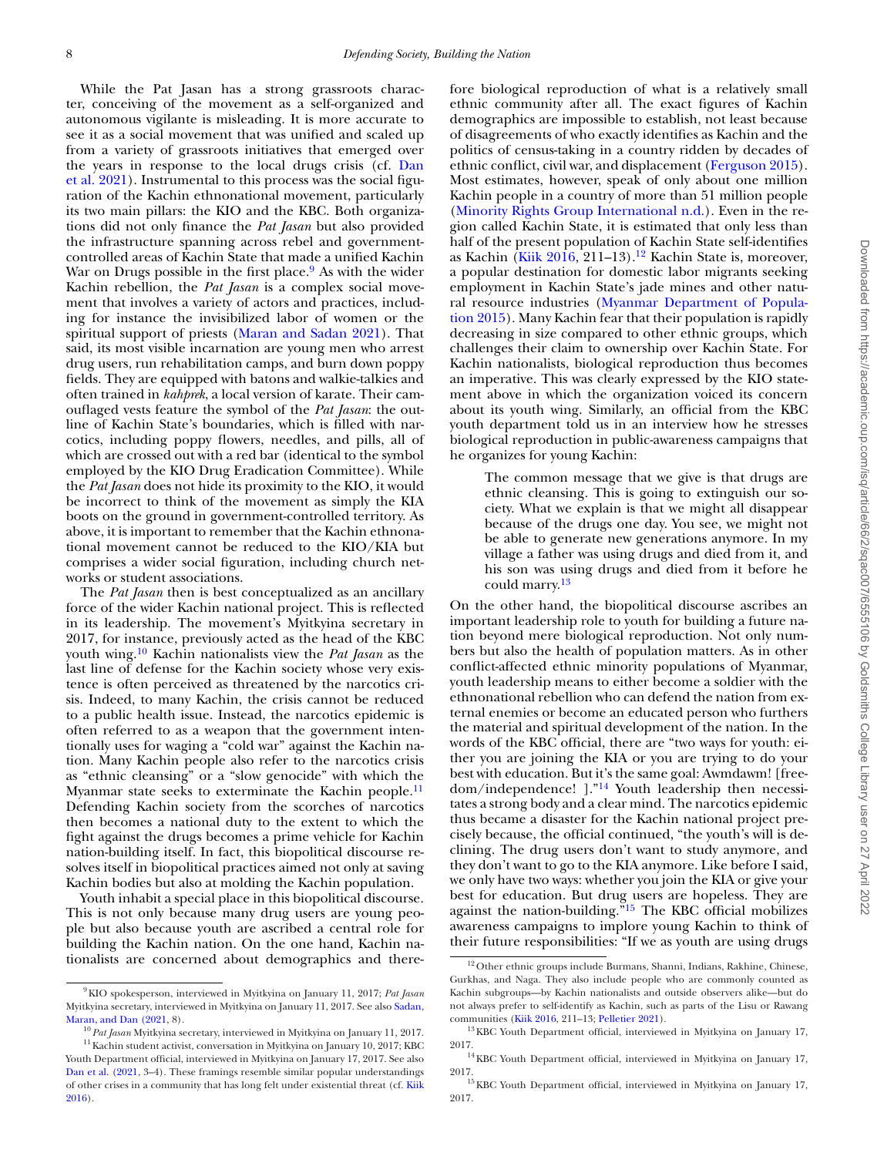While the Pat Jasan has a strong grassroots character, conceiving of the movement as a self-organized and autonomous vigilante is misleading. It is more accurate to see it as a social movement that was unified and scaled up from a variety of grassroots initiatives that emerged over the years in response to the local drugs crisis (cf. Dan et al. 2021). [Instrumental](#page-10-41) to this process was the social figuration of the Kachin ethnonational movement, particularly its two main pillars: the KIO and the KBC. Both organizations did not only finance the *Pat Jasan* but also provided the infrastructure spanning across rebel and governmentcontrolled areas of Kachin State that made a unified Kachin War on Drugs possible in the first place.<sup>9</sup> As with the wider Kachin rebellion, the *Pat Jasan* is a complex social movement that involves a variety of actors and practices, including for instance the invisibilized labor of women or the spiritual support of priests [\(Maran](#page-11-40) and Sadan 2021). That said, its most visible incarnation are young men who arrest drug users, run rehabilitation camps, and burn down poppy fields. They are equipped with batons and walkie-talkies and often trained in *kahprek*, a local version of karate. Their camouflaged vests feature the symbol of the *Pat Jasan*: the outline of Kachin State's boundaries, which is filled with narcotics, including poppy flowers, needles, and pills, all of which are crossed out with a red bar (identical to the symbol employed by the KIO Drug Eradication Committee). While the *Pat Jasan* does not hide its proximity to the KIO, it would be incorrect to think of the movement as simply the KIA boots on the ground in government-controlled territory. As above, it is important to remember that the Kachin ethnonational movement cannot be reduced to the KIO/KIA but comprises a wider social figuration, including church networks or student associations.

The *Pat Jasan* then is best conceptualized as an ancillary force of the wider Kachin national project. This is reflected in its leadership. The movement's Myitkyina secretary in 2017, for instance, previously acted as the head of the KBC youth wing[.10](#page-7-1) Kachin nationalists view the *Pat Jasan* as the last line of defense for the Kachin society whose very existence is often perceived as threatened by the narcotics crisis. Indeed, to many Kachin, the crisis cannot be reduced to a public health issue. Instead, the narcotics epidemic is often referred to as a weapon that the government intentionally uses for waging a "cold war" against the Kachin nation. Many Kachin people also refer to the narcotics crisis as "ethnic cleansing" or a "slow genocide" with which the Myanmar state seeks to exterminate the Kachin people.<sup>11</sup> Defending Kachin society from the scorches of narcotics then becomes a national duty to the extent to which the fight against the drugs becomes a prime vehicle for Kachin nation-building itself. In fact, this biopolitical discourse resolves itself in biopolitical practices aimed not only at saving Kachin bodies but also at molding the Kachin population.

Youth inhabit a special place in this biopolitical discourse. This is not only because many drug users are young people but also because youth are ascribed a central role for building the Kachin nation. On the one hand, Kachin nationalists are concerned about demographics and there-

<span id="page-7-2"></span><span id="page-7-1"></span><sup>10</sup> *Pat Jasan* Myitkyina secretary, interviewed in Myitkyina on January 11, 2017.

fore biological reproduction of what is a relatively small ethnic community after all. The exact figures of Kachin demographics are impossible to establish, not least because of disagreements of who exactly identifies as Kachin and the politics of census-taking in a country ridden by decades of ethnic conflict, civil war, and displacement [\(Ferguson](#page-10-42) 2015). Most estimates, however, speak of only about one million Kachin people in a country of more than 51 million people (Minority Rights Group [International](#page-11-43) n.d.). Even in the region called Kachin State, it is estimated that only less than half of the present population of Kachin State self-identifies as Kachin (Kiik [2016,](#page-11-42) 211-13).<sup>12</sup> Kachin State is, moreover, a popular destination for domestic labor migrants seeking employment in Kachin State's jade mines and other natural resource industries (Myanmar [Department](#page-11-44) of Population 2015). Many Kachin fear that their population is rapidly decreasing in size compared to other ethnic groups, which challenges their claim to ownership over Kachin State. For Kachin nationalists, biological reproduction thus becomes an imperative. This was clearly expressed by the KIO statement above in which the organization voiced its concern about its youth wing. Similarly, an official from the KBC youth department told us in an interview how he stresses biological reproduction in public-awareness campaigns that he organizes for young Kachin:

The common message that we give is that drugs are ethnic cleansing. This is going to extinguish our society. What we explain is that we might all disappear because of the drugs one day. You see, we might not be able to generate new generations anymore. In my village a father was using drugs and died from it, and his son was using drugs and died from it before he could marry[.13](#page-7-4)

On the other hand, the biopolitical discourse ascribes an important leadership role to youth for building a future nation beyond mere biological reproduction. Not only numbers but also the health of population matters. As in other conflict-affected ethnic minority populations of Myanmar, youth leadership means to either become a soldier with the ethnonational rebellion who can defend the nation from external enemies or become an educated person who furthers the material and spiritual development of the nation. In the words of the KBC official, there are "two ways for youth: either you are joining the KIA or you are trying to do your best with education. But it's the same goal: Awmdawm! [freedom/independence! ].["14](#page-7-5) Youth leadership then necessitates a strong body and a clear mind. The narcotics epidemic thus became a disaster for the Kachin national project precisely because, the official continued, "the youth's will is declining. The drug users don't want to study anymore, and they don't want to go to the KIA anymore. Like before I said, we only have two ways: whether you join the KIA or give your best for education. But drug users are hopeless. They are against the nation-building.["15](#page-7-6) The KBC official mobilizes awareness campaigns to implore young Kachin to think of their future responsibilities: "If we as youth are using drugs

<span id="page-7-0"></span><sup>9</sup>KIO spokesperson, interviewed in Myitkyina on January 11, 2017; *Pat Jasan* Myitkyina secretary, [interviewed](#page-11-41) in Myitkyina on January 11, 2017. See also Sadan, Maran, and Dan (2021, 8).

<sup>&</sup>lt;sup>11</sup> Kachin student activist, conversation in Myitkyina on January 10, 2017; KBC Youth Department official, interviewed in Myitkyina on January 17, 2017. See also Dan et al. [\(2021,](#page-10-41) 3–4). These framings resemble similar popular understandings of other crises in a [community](#page-11-42) that has long felt under existential threat (cf. Kiik 2016).

<span id="page-7-3"></span><sup>&</sup>lt;sup>12</sup> Other ethnic groups include Burmans, Shanni, Indians, Rakhine, Chinese, Gurkhas, and Naga. They also include people who are commonly counted as Kachin subgroups—by Kachin nationalists and outside observers alike—but do not always prefer to self-identify as Kachin, such as parts of the Lisu or Rawang communities (Kiik [2016,](#page-11-42) 211–13; [Pelletier](#page-11-45) 2021).

<span id="page-7-4"></span><sup>&</sup>lt;sup>13</sup> KBC Youth Department official, interviewed in Myitkyina on January 17, 2017.

<span id="page-7-5"></span><sup>14</sup>KBC Youth Department official, interviewed in Myitkyina on January 17, 2017.

<span id="page-7-6"></span> $^{15}\rm{KBC}$  Youth Department official, interviewed in Myitkyina on January 17, 2017.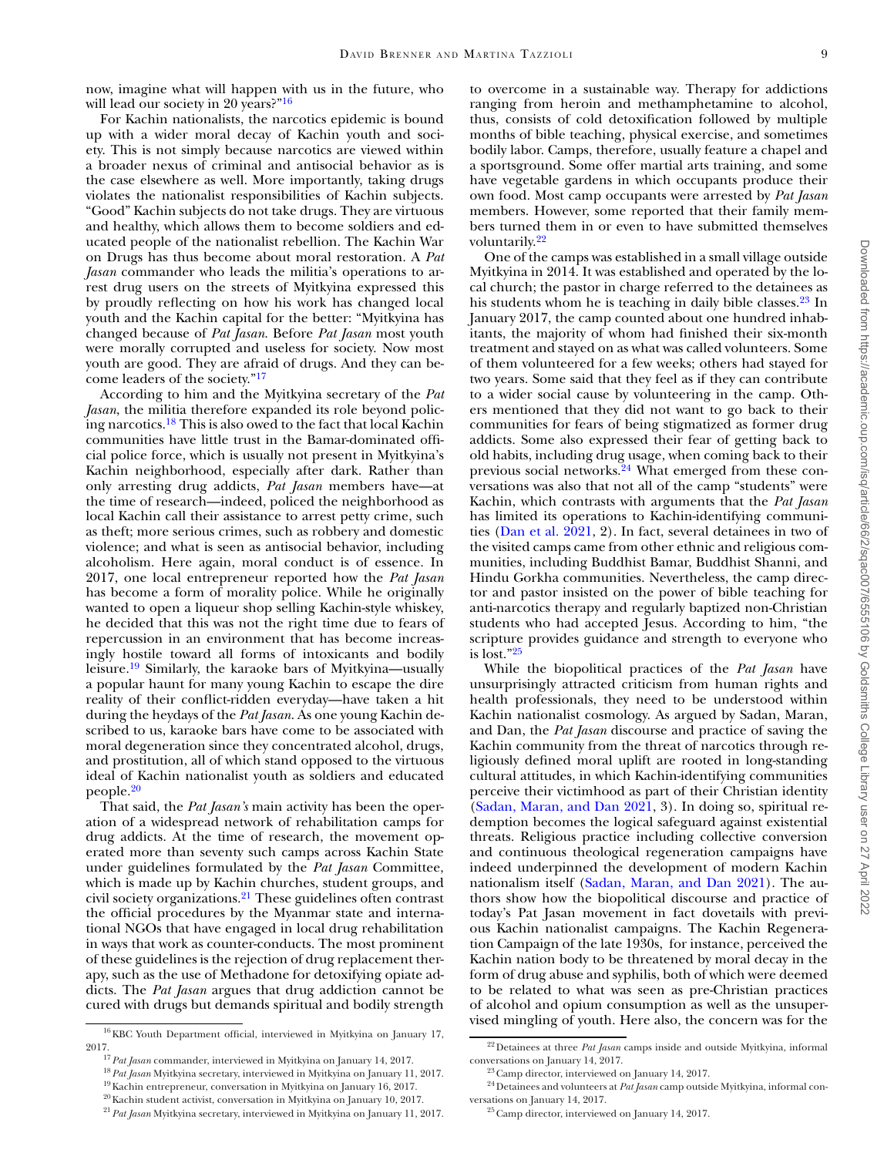now, imagine what will happen with us in the future, who will lead our society in 20 years?"<sup>16</sup>

For Kachin nationalists, the narcotics epidemic is bound up with a wider moral decay of Kachin youth and society. This is not simply because narcotics are viewed within a broader nexus of criminal and antisocial behavior as is the case elsewhere as well. More importantly, taking drugs violates the nationalist responsibilities of Kachin subjects. "Good" Kachin subjects do not take drugs. They are virtuous and healthy, which allows them to become soldiers and educated people of the nationalist rebellion. The Kachin War on Drugs has thus become about moral restoration. A *Pat Jasan* commander who leads the militia's operations to arrest drug users on the streets of Myitkyina expressed this by proudly reflecting on how his work has changed local youth and the Kachin capital for the better: "Myitkyina has changed because of *Pat Jasan*. Before *Pat Jasan* most youth were morally corrupted and useless for society. Now most youth are good. They are afraid of drugs. And they can become leaders of the society.["17](#page-8-1)

According to him and the Myitkyina secretary of the *Pat Jasan*, the militia therefore expanded its role beyond policing narcotics[.18](#page-8-2) This is also owed to the fact that local Kachin communities have little trust in the Bamar-dominated official police force, which is usually not present in Myitkyina's Kachin neighborhood, especially after dark. Rather than only arresting drug addicts, *Pat Jasan* members have—at the time of research—indeed, policed the neighborhood as local Kachin call their assistance to arrest petty crime, such as theft; more serious crimes, such as robbery and domestic violence; and what is seen as antisocial behavior, including alcoholism. Here again, moral conduct is of essence. In 2017, one local entrepreneur reported how the *Pat Jasan* has become a form of morality police. While he originally wanted to open a liqueur shop selling Kachin-style whiskey, he decided that this was not the right time due to fears of repercussion in an environment that has become increasingly hostile toward all forms of intoxicants and bodily leisure[.19](#page-8-3) Similarly, the karaoke bars of Myitkyina—usually a popular haunt for many young Kachin to escape the dire reality of their conflict-ridden everyday—have taken a hit during the heydays of the *Pat Jasan*. As one young Kachin described to us, karaoke bars have come to be associated with moral degeneration since they concentrated alcohol, drugs, and prostitution, all of which stand opposed to the virtuous ideal of Kachin nationalist youth as soldiers and educated people[.20](#page-8-4)

That said, the *Pat Jasan's* main activity has been the operation of a widespread network of rehabilitation camps for drug addicts. At the time of research, the movement operated more than seventy such camps across Kachin State under guidelines formulated by the *Pat Jasan* Committee, which is made up by Kachin churches, student groups, and civil society organizations[.21](#page-8-5) These guidelines often contrast the official procedures by the Myanmar state and international NGOs that have engaged in local drug rehabilitation in ways that work as counter-conducts. The most prominent of these guidelines is the rejection of drug replacement therapy, such as the use of Methadone for detoxifying opiate addicts. The *Pat Jasan* argues that drug addiction cannot be cured with drugs but demands spiritual and bodily strength

to overcome in a sustainable way. Therapy for addictions ranging from heroin and methamphetamine to alcohol, thus, consists of cold detoxification followed by multiple months of bible teaching, physical exercise, and sometimes bodily labor. Camps, therefore, usually feature a chapel and a sportsground. Some offer martial arts training, and some have vegetable gardens in which occupants produce their own food. Most camp occupants were arrested by *Pat Jasan* members. However, some reported that their family members turned them in or even to have submitted themselves voluntarily.<sup>22</sup>

One of the camps was established in a small village outside Myitkyina in 2014. It was established and operated by the local church; the pastor in charge referred to the detainees as his students whom he is teaching in daily bible classes.<sup>23</sup> In January 2017, the camp counted about one hundred inhabitants, the majority of whom had finished their six-month treatment and stayed on as what was called volunteers. Some of them volunteered for a few weeks; others had stayed for two years. Some said that they feel as if they can contribute to a wider social cause by volunteering in the camp. Others mentioned that they did not want to go back to their communities for fears of being stigmatized as former drug addicts. Some also expressed their fear of getting back to old habits, including drug usage, when coming back to their previous social networks.<sup>24</sup> What emerged from these conversations was also that not all of the camp "students" were Kachin, which contrasts with arguments that the *Pat Jasan* has limited its operations to Kachin-identifying communities (Dan et al. [2021,](#page-10-41) 2). In fact, several detainees in two of the visited camps came from other ethnic and religious communities, including Buddhist Bamar, Buddhist Shanni, and Hindu Gorkha communities. Nevertheless, the camp director and pastor insisted on the power of bible teaching for anti-narcotics therapy and regularly baptized non-Christian students who had accepted Jesus. According to him, "the scripture provides guidance and strength to everyone who is lost.["25](#page-8-9)

While the biopolitical practices of the *Pat Jasan* have unsurprisingly attracted criticism from human rights and health professionals, they need to be understood within Kachin nationalist cosmology. As argued by Sadan, Maran, and Dan, the *Pat Jasan* discourse and practice of saving the Kachin community from the threat of narcotics through religiously defined moral uplift are rooted in long-standing cultural attitudes, in which Kachin-identifying communities perceive their victimhood as part of their Christian identity (Sadan, [Maran,](#page-11-41) and Dan 2021, 3). In doing so, spiritual redemption becomes the logical safeguard against existential threats. Religious practice including collective conversion and continuous theological regeneration campaigns have indeed underpinned the development of modern Kachin nationalism itself (Sadan, [Maran,](#page-11-41) and Dan 2021). The authors show how the biopolitical discourse and practice of today's Pat Jasan movement in fact dovetails with previous Kachin nationalist campaigns. The Kachin Regeneration Campaign of the late 1930s, for instance, perceived the Kachin nation body to be threatened by moral decay in the form of drug abuse and syphilis, both of which were deemed to be related to what was seen as pre-Christian practices of alcohol and opium consumption as well as the unsupervised mingling of youth. Here also, the concern was for the

<span id="page-8-0"></span> $^{16}\mathrm{KBC}$  Youth Department official, interviewed in Myitkyina on January 17, 2017. <sup>17</sup> *Pat Jasan* commander, interviewed in Myitkyina on January 14, 2017.

<span id="page-8-2"></span><span id="page-8-1"></span>

<sup>18</sup> *Pat Jasan* Myitkyina secretary, interviewed in Myitkyina on January 11, 2017.

<span id="page-8-4"></span><span id="page-8-3"></span><sup>&</sup>lt;sup>19</sup> Kachin entrepreneur, conversation in Myitkyina on January 16, 2017. 20Kachin student activist, conversation in Myitkyina on January 10, 2017.

<span id="page-8-5"></span><sup>21</sup> *Pat Jasan* Myitkyina secretary, interviewed in Myitkyina on January 11, 2017.

<span id="page-8-6"></span><sup>22</sup>Detainees at three *Pat Jasan* camps inside and outside Myitkyina, informal conversations on January 14, 2017.

<span id="page-8-8"></span><span id="page-8-7"></span> $^{23}$  Camp director, interviewed on January 14, 2017.

<sup>24</sup>Detainees and volunteers at *Pat Jasan* camp outside Myitkyina, informal conversations on January 14, 2017.

<span id="page-8-9"></span><sup>&</sup>lt;sup>25</sup> Camp director, interviewed on January 14, 2017.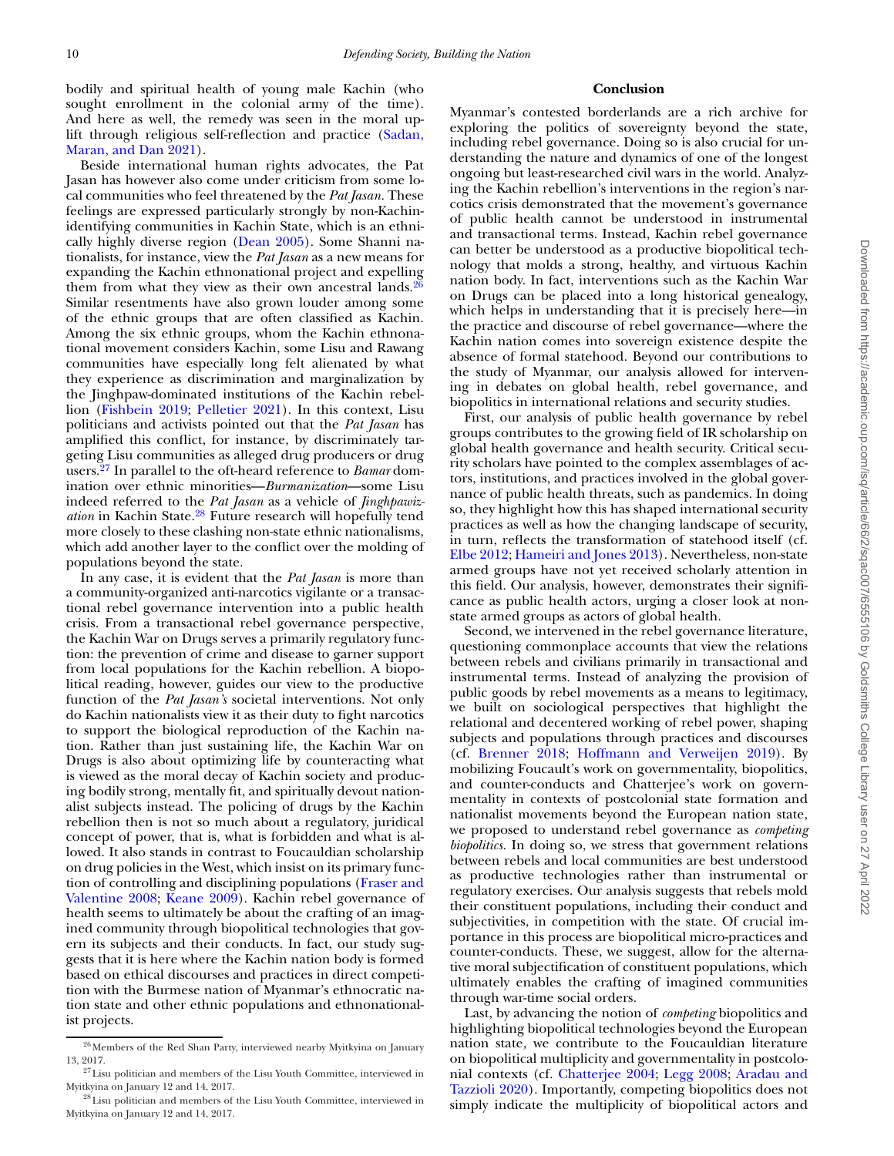bodily and spiritual health of young male Kachin (who sought enrollment in the colonial army of the time). And here as well, the remedy was seen in the moral uplift through religious [self-reflection](#page-11-41) and practice (Sadan, Maran, and Dan 2021).

Beside international human rights advocates, the Pat Jasan has however also come under criticism from some local communities who feel threatened by the *Pat Jasan.* These feelings are expressed particularly strongly by non-Kachinidentifying communities in Kachin State, which is an ethnically highly diverse region [\(Dean](#page-10-43) 2005). Some Shanni nationalists, for instance, view the *Pat Jasan* as a new means for expanding the Kachin ethnonational project and expelling them from what they view as their own ancestral lands. $26$ Similar resentments have also grown louder among some of the ethnic groups that are often classified as Kachin. Among the six ethnic groups, whom the Kachin ethnonational movement considers Kachin, some Lisu and Rawang communities have especially long felt alienated by what they experience as discrimination and marginalization by the Jinghpaw-dominated institutions of the Kachin rebellion [\(Fishbein](#page-10-44) 2019; [Pelletier](#page-11-45) 2021). In this context, Lisu politicians and activists pointed out that the *Pat Jasan* has amplified this conflict, for instance, by discriminately targeting Lisu communities as alleged drug producers or drug users[.27](#page-9-1) In parallel to the oft-heard reference to *Bamar* domination over ethnic minorities—*Burmanization*—some Lisu indeed referred to the *Pat Jasan* as a vehicle of *Jinghpawization* in Kachin State[.28](#page-9-2) Future research will hopefully tend more closely to these clashing non-state ethnic nationalisms, which add another layer to the conflict over the molding of populations beyond the state.

In any case, it is evident that the *Pat Jasan* is more than a community-organized anti-narcotics vigilante or a transactional rebel governance intervention into a public health crisis. From a transactional rebel governance perspective, the Kachin War on Drugs serves a primarily regulatory function: the prevention of crime and disease to garner support from local populations for the Kachin rebellion. A biopolitical reading, however, guides our view to the productive function of the *Pat Jasan's* societal interventions. Not only do Kachin nationalists view it as their duty to fight narcotics to support the biological reproduction of the Kachin nation. Rather than just sustaining life, the Kachin War on Drugs is also about optimizing life by counteracting what is viewed as the moral decay of Kachin society and producing bodily strong, mentally fit, and spiritually devout nationalist subjects instead. The policing of drugs by the Kachin rebellion then is not so much about a regulatory, juridical concept of power, that is, what is forbidden and what is allowed. It also stands in contrast to Foucauldian scholarship on drug policies in the West, which insist on its primary function of controlling and disciplining [populations](#page-10-45) (Fraser and Valentine 2008; [Keane](#page-11-46) 2009). Kachin rebel governance of health seems to ultimately be about the crafting of an imagined community through biopolitical technologies that govern its subjects and their conducts. In fact, our study suggests that it is here where the Kachin nation body is formed based on ethical discourses and practices in direct competition with the Burmese nation of Myanmar's ethnocratic nation state and other ethnic populations and ethnonationalist projects.

# **Conclusion**

Myanmar's contested borderlands are a rich archive for exploring the politics of sovereignty beyond the state, including rebel governance. Doing so is also crucial for understanding the nature and dynamics of one of the longest ongoing but least-researched civil wars in the world. Analyzing the Kachin rebellion's interventions in the region's narcotics crisis demonstrated that the movement's governance of public health cannot be understood in instrumental and transactional terms. Instead, Kachin rebel governance can better be understood as a productive biopolitical technology that molds a strong, healthy, and virtuous Kachin nation body. In fact, interventions such as the Kachin War on Drugs can be placed into a long historical genealogy, which helps in understanding that it is precisely here—in the practice and discourse of rebel governance—where the Kachin nation comes into sovereign existence despite the absence of formal statehood. Beyond our contributions to the study of Myanmar, our analysis allowed for intervening in debates on global health, rebel governance, and biopolitics in international relations and security studies.

First, our analysis of public health governance by rebel groups contributes to the growing field of IR scholarship on global health governance and health security. Critical security scholars have pointed to the complex assemblages of actors, institutions, and practices involved in the global governance of public health threats, such as pandemics. In doing so, they highlight how this has shaped international security practices as well as how the changing landscape of security, in turn, reflects the transformation of statehood itself (cf. Elbe [2012;](#page-10-46) [Hameiri](#page-10-8) and Jones 2013). Nevertheless, non-state armed groups have not yet received scholarly attention in this field. Our analysis, however, demonstrates their significance as public health actors, urging a closer look at nonstate armed groups as actors of global health.

Second, we intervened in the rebel governance literature, questioning commonplace accounts that view the relations between rebels and civilians primarily in transactional and instrumental terms. Instead of analyzing the provision of public goods by rebel movements as a means to legitimacy, we built on sociological perspectives that highlight the relational and decentered working of rebel power, shaping subjects and populations through practices and discourses (cf. [Brenner](#page-10-14) 2018; [Hoffmann](#page-10-15) and Verweijen 2019). By mobilizing Foucault's work on governmentality, biopolitics, and counter-conducts and Chatterjee's work on governmentality in contexts of postcolonial state formation and nationalist movements beyond the European nation state, we proposed to understand rebel governance as *competing biopolitics.* In doing so, we stress that government relations between rebels and local communities are best understood as productive technologies rather than instrumental or regulatory exercises. Our analysis suggests that rebels mold their constituent populations, including their conduct and subjectivities, in competition with the state. Of crucial importance in this process are biopolitical micro-practices and counter-conducts. These, we suggest, allow for the alternative moral subjectification of constituent populations, which ultimately enables the crafting of imagined communities through war-time social orders.

Last, by advancing the notion of *competing* biopolitics and highlighting biopolitical technologies beyond the European nation state*,* we contribute to the Foucauldian literature on biopolitical multiplicity and governmentality in postcolonial contexts (cf. [Chatterjee](#page-10-28) 2004; [Legg](#page-11-23) 2008; Aradau and Tazzioli 2020). [Importantly,](#page-10-22) competing biopolitics does not simply indicate the multiplicity of biopolitical actors and

<span id="page-9-0"></span> $^{26}\!$  Members of the Red Shan Party, interviewed nearby Myitkyina on January 13, 2017.

<span id="page-9-1"></span> $^{27}\mathrm{L}$ isu politician and members of the Lisu Youth Committee, interviewed in Myitkyina on January 12 and 14, 2017.

<span id="page-9-2"></span> $^{28}$ Lisu politician and members of the Lisu Youth Committee, interviewed in Myitkyina on January 12 and 14, 2017.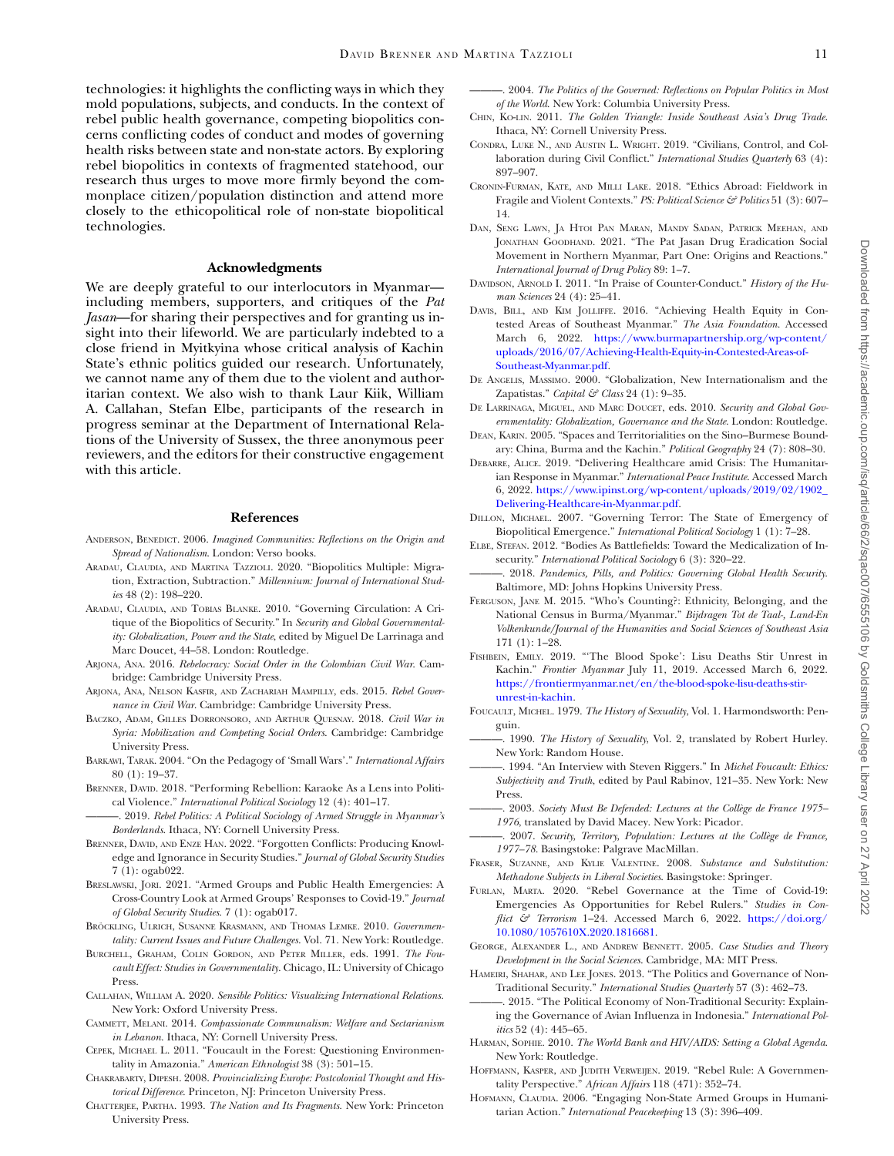technologies: it highlights the conflicting ways in which they mold populations, subjects, and conducts. In the context of rebel public health governance, competing biopolitics concerns conflicting codes of conduct and modes of governing health risks between state and non-state actors. By exploring rebel biopolitics in contexts of fragmented statehood, our research thus urges to move more firmly beyond the commonplace citizen/population distinction and attend more closely to the ethicopolitical role of non-state biopolitical technologies.

#### **Acknowledgments**

We are deeply grateful to our interlocutors in Myanmar including members, supporters, and critiques of the *Pat Jasan*—for sharing their perspectives and for granting us insight into their lifeworld. We are particularly indebted to a close friend in Myitkyina whose critical analysis of Kachin State's ethnic politics guided our research. Unfortunately, we cannot name any of them due to the violent and authoritarian context. We also wish to thank Laur Kiik, William A. Callahan, Stefan Elbe, participants of the research in progress seminar at the Department of International Relations of the University of Sussex, the three anonymous peer reviewers, and the editors for their constructive engagement with this article.

#### **References**

- <span id="page-10-25"></span>ANDERSON, BENEDICT. 2006. *Imagined Communities: Reflections on the Origin and Spread of Nationalism*. London: Verso books.
- <span id="page-10-22"></span>ARADAU, CLAUDIA, AND MARTINA TAZZIOLI. 2020. "Biopolitics Multiple: Migration, Extraction, Subtraction." *Millennium: Journal of International Studies* 48 (2): 198–220.
- <span id="page-10-17"></span>ARADAU, CLAUDIA, AND TOBIAS BLANKE. 2010. "Governing Circulation: A Critique of the Biopolitics of Security." In *Security and Global Governmentality: Globalization, Power and the State*, edited by Miguel De Larrinaga and Marc Doucet, 44–58. London: Routledge.
- <span id="page-10-9"></span>ARJONA, ANA. 2016. *Rebelocracy: Social Order in the Colombian Civil War*. Cambridge: Cambridge University Press.
- <span id="page-10-3"></span>ARJONA, ANA, NELSON KASFIR, AND ZACHARIAH MAMPILLY, eds. 2015. *Rebel Governance in Civil War*. Cambridge: Cambridge University Press.
- <span id="page-10-10"></span>BACZKO, ADAM, GILLES DORRONSORO, AND ARTHUR QUESNAY. 2018. *Civil War in Syria: Mobilization and Competing Social Orders*. Cambridge: Cambridge University Press.
- <span id="page-10-23"></span>BARKAWI, TARAK. 2004. "On the Pedagogy of 'Small Wars'." *International Affairs* 80 (1): 19–37.
- <span id="page-10-14"></span>BRENNER, DAVID. 2018. "Performing Rebellion: Karaoke As a Lens into Political Violence." *International Political Sociology* 12 (4): 401–17.
- <span id="page-10-11"></span>———. 2019. *Rebel Politics: A Political Sociology of Armed Struggle in Myanmar's Borderlands*. Ithaca, NY: Cornell University Press.
- <span id="page-10-35"></span>BRENNER, DAVID, AND ENZE HAN. 2022. "Forgotten Conflicts: Producing Knowledge and Ignorance in Security Studies." *Journal of Global Security Studies* 7 (1): ogab022.
- <span id="page-10-2"></span>BRESLAWSKI, JORI. 2021. "Armed Groups and Public Health Emergencies: A Cross-Country Look at Armed Groups' Responses to Covid-19." *Journal of Global Security Studies*. 7 (1): ogab017.
- <span id="page-10-27"></span>BRÖCKLING, ULRICH, SUSANNE KRASMANN, AND THOMAS LEMKE. 2010. *Governmentality: Current Issues and Future Challenges*. Vol. 71. New York: Routledge.
- <span id="page-10-26"></span>BURCHELL, GRAHAM, COLIN GORDON, AND PETER MILLER, eds. 1991. *The Foucault Effect: Studies in Governmentality*. Chicago, IL: University of Chicago Press.
- <span id="page-10-13"></span>CALLAHAN, WILLIAM A. 2020. *Sensible Politics: Visualizing International Relations*. New York: Oxford University Press.
- <span id="page-10-12"></span>CAMMETT, MELANI. 2014. *Compassionate Communalism: Welfare and Sectarianism in Lebanon*. Ithaca, NY: Cornell University Press.
- <span id="page-10-29"></span>CEPEK, MICHAEL L. 2011. "Foucault in the Forest: Questioning Environmentality in Amazonia." *American Ethnologist* 38 (3): 501–15.
- <span id="page-10-30"></span>CHAKRABARTY, DIPESH. 2008. *Provincializing Europe: Postcolonial Thought and Historical Difference*. Princeton, NJ: Princeton University Press.
- <span id="page-10-31"></span>CHATTERJEE, PARTHA. 1993. *The Nation and Its Fragments*. New York: Princeton University Press.
- <span id="page-10-28"></span>———. 2004. *The Politics of the Governed: Reflections on Popular Politics in Most of the World*. New York: Columbia University Press.
- <span id="page-10-38"></span>CHIN, KO-LIN. 2011. *The Golden Triangle: Inside Southeast Asia's Drug Trade*. Ithaca, NY: Cornell University Press.
- <span id="page-10-0"></span>CONDRA, LUKE N., AND AUSTIN L. WRIGHT. 2019. "Civilians, Control, and Collaboration during Civil Conflict." *International Studies Quarterly* 63 (4): 897–907.
- <span id="page-10-37"></span>CRONIN-FURMAN, KATE, AND MILLI LAKE. 2018. "Ethics Abroad: Fieldwork in Fragile and Violent Contexts." *PS: Political Science & Politics* 51 (3): 607– 14.
- <span id="page-10-41"></span>DAN, SENG LAWN, JA HTOI PAN MARAN, MANDY SADAN, PATRICK MEEHAN, AND JONATHAN GOODHAND. 2021. "The Pat Jasan Drug Eradication Social Movement in Northern Myanmar, Part One: Origins and Reactions." *International Journal of Drug Policy* 89: 1–7.
- <span id="page-10-34"></span>DAVIDSON, ARNOLD I. 2011. "In Praise of Counter-Conduct." *History of the Human Sciences* 24 (4): 25–41.
- <span id="page-10-39"></span>DAVIS, BILL, AND KIM JOLLIFFE. 2016. "Achieving Health Equity in Contested Areas of Southeast Myanmar." *The Asia Foundation*. Accessed March 6, 2022. https://www.burmapartnership.org/wp-content/ [uploads/2016/07/Achieving-Health-Equity-in-Contested-Areas-of-](https://www.burmapartnership.org/wp-content/uploads/2016/07/Achieving-Health-Equity-in-Contested-Areas-of-Southeast-Myanmar.pdf)Southeast-Myanmar.pdf.
- <span id="page-10-24"></span>DE ANGELIS, MASSIMO. 2000. "Globalization, New Internationalism and the Zapatistas." *Capital & Class* 24 (1): 9–35.
- <span id="page-10-18"></span>DE LARRINAGA, MIGUEL, AND MARC DOUCET, eds. 2010. *Security and Global Governmentality: Globalization, Governance and the State*. London: Routledge.
- <span id="page-10-43"></span>DEAN, KARIN. 2005. "Spaces and Territorialities on the Sino–Burmese Boundary: China, Burma and the Kachin." *Political Geography* 24 (7): 808–30.
- <span id="page-10-40"></span>DEBARRE, ALICE. 2019. "Delivering Healthcare amid Crisis: The Humanitarian Response in Myanmar." *International Peace Institute*. Accessed March 6, 2022. [https://www.ipinst.org/wp-content/uploads/2019/02/1902\\_](https://www.ipinst.org/wp-content/uploads/2019/02/1902_Delivering-Healthcare-in-Myanmar.pdf) Delivering-Healthcare-in-Myanmar.pdf.
- <span id="page-10-16"></span>DILLON, MICHAEL. 2007. "Governing Terror: The State of Emergency of Biopolitical Emergence." *International Political Sociology* 1 (1): 7–28.
- <span id="page-10-46"></span>ELBE, STEFAN. 2012. "Bodies As Battlefields: Toward the Medicalization of Insecurity." *International Political Sociology* 6 (3): 320–22.
- <span id="page-10-7"></span>———. 2018. *Pandemics, Pills, and Politics: Governing Global Health Security*. Baltimore, MD: Johns Hopkins University Press.
- <span id="page-10-42"></span>FERGUSON, JANE M. 2015. "Who's Counting?: Ethnicity, Belonging, and the National Census in Burma/Myanmar." *Bijdragen Tot de Taal-, Land-En Volkenkunde/Journal of the Humanities and Social Sciences of Southeast Asia* 171 (1): 1–28.
- <span id="page-10-44"></span>FISHBEIN, EMILY. 2019. "'The Blood Spoke': Lisu Deaths Stir Unrest in Kachin." *Frontier Myanmar* July 11, 2019. Accessed March 6, 2022. [https://frontiermyanmar.net/en/the-blood-spoke-lisu-deaths-stir](https://frontiermyanmar.net/en/the-blood-spoke-lisu-deaths-stir-unrest-in-kachin)unrest-in-kachin.
- <span id="page-10-21"></span>FOUCAULT, MICHEL. 1979. *The History of Sexuality*, Vol. 1. Harmondsworth: Penguin.
- <span id="page-10-32"></span>———. 1990. *The History of Sexuality*, Vol. 2, translated by Robert Hurley. New York: Random House.
- <span id="page-10-33"></span>———. 1994. "An Interview with Steven Riggers." In *Michel Foucault: Ethics: Subjectivity and Truth*, edited by Paul Rabinov, 121–35. New York: New Press.
- <span id="page-10-20"></span>———. 2003. *Society Must Be Defended: Lectures at the Collège de France 1975– 1976*, translated by David Macey. New York: Picador.
- <span id="page-10-19"></span>———. 2007. *Security, Territory, Population: Lectures at the Collège de France, 1977–78*. Basingstoke: Palgrave MacMillan.
- <span id="page-10-45"></span>FRASER, SUZANNE, AND KYLIE VALENTINE. 2008. *Substance and Substitution: Methadone Subjects in Liberal Societies*. Basingstoke: Springer.
- <span id="page-10-1"></span>FURLAN, MARTA. 2020. "Rebel Governance at the Time of Covid-19: Emergencies As Opportunities for Rebel Rulers." *Studies in Conflict & Terrorism* 1–24. Accessed March 6, 2022. https://doi.org/ [10.1080/1057610X.2020.1816681.](https://doi.org/10.1080/1057610X.2020.1816681)
- <span id="page-10-36"></span>GEORGE, ALEXANDER L., AND ANDREW BENNETT. 2005. *Case Studies and Theory Development in the Social Sciences*. Cambridge, MA: MIT Press.
- <span id="page-10-8"></span>HAMEIRI, SHAHAR, AND LEE JONES. 2013. "The Politics and Governance of Non-Traditional Security." *International Studies Quarterly* 57 (3): 462–73.
- <span id="page-10-6"></span>-. 2015. "The Political Economy of Non-Traditional Security: Explaining the Governance of Avian Influenza in Indonesia." *International Politics* 52 (4): 445–65.
- <span id="page-10-5"></span>HARMAN, SOPHIE. 2010. *The World Bank and HIV/AIDS: Setting a Global Agenda*. New York: Routledge.
- <span id="page-10-15"></span>HOFFMANN, KASPER, AND JUDITH VERWEIJEN. 2019. "Rebel Rule: A Governmentality Perspective." *African Affairs* 118 (471): 352–74.
- <span id="page-10-4"></span>HOFMANN, CLAUDIA. 2006. "Engaging Non-State Armed Groups in Humanitarian Action." *International Peacekeeping* 13 (3): 396–409.